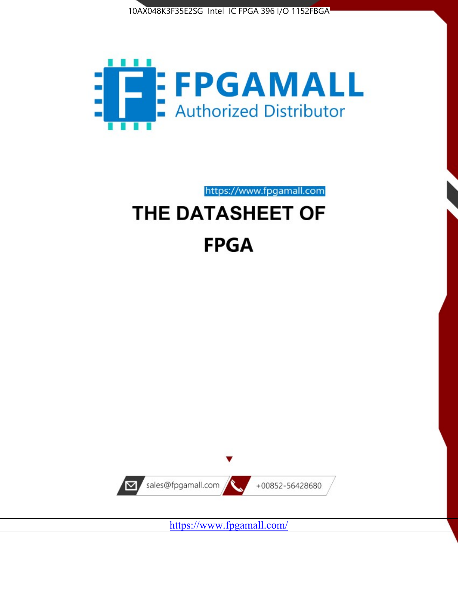10AX048K3F35E2SG Intel IC FPGA 396 I/O 1152FBGA



https://www.fpgamall.com THE DATASHEET OF

# **FPGA**



<https://www.fpgamall.com/>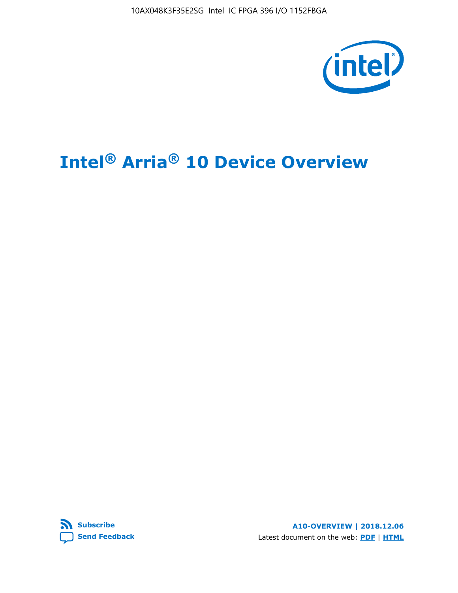10AX048K3F35E2SG Intel IC FPGA 396 I/O 1152FBGA



# **Intel® Arria® 10 Device Overview**



**A10-OVERVIEW | 2018.12.06** Latest document on the web: **[PDF](https://www.intel.com/content/dam/www/programmable/us/en/pdfs/literature/hb/arria-10/a10_overview.pdf)** | **[HTML](https://www.intel.com/content/www/us/en/programmable/documentation/sam1403480274650.html)**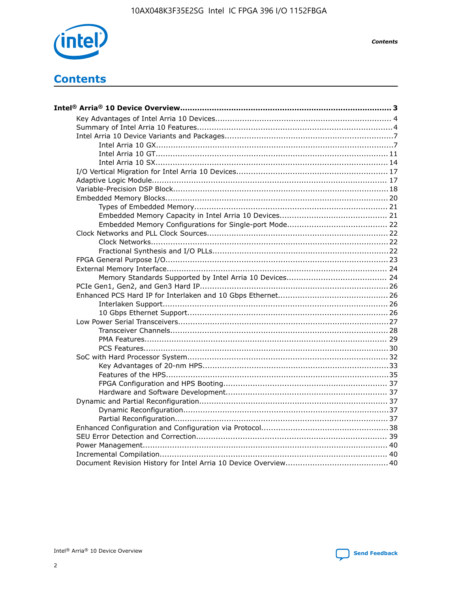

**Contents** 

# **Contents**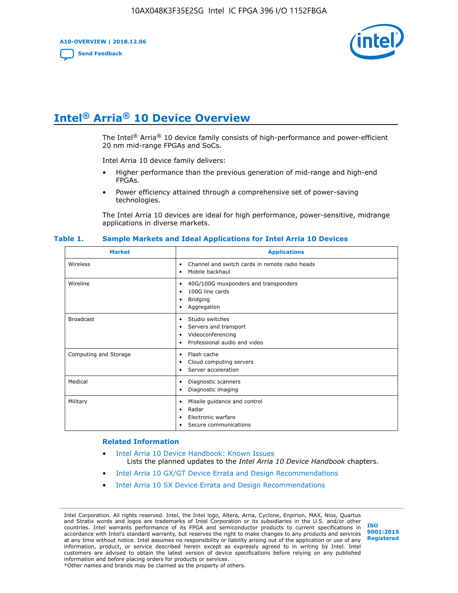**A10-OVERVIEW | 2018.12.06**

**[Send Feedback](mailto:FPGAtechdocfeedback@intel.com?subject=Feedback%20on%20Intel%20Arria%2010%20Device%20Overview%20(A10-OVERVIEW%202018.12.06)&body=We%20appreciate%20your%20feedback.%20In%20your%20comments,%20also%20specify%20the%20page%20number%20or%20paragraph.%20Thank%20you.)**



# **Intel® Arria® 10 Device Overview**

The Intel<sup>®</sup> Arria<sup>®</sup> 10 device family consists of high-performance and power-efficient 20 nm mid-range FPGAs and SoCs.

Intel Arria 10 device family delivers:

- Higher performance than the previous generation of mid-range and high-end FPGAs.
- Power efficiency attained through a comprehensive set of power-saving technologies.

The Intel Arria 10 devices are ideal for high performance, power-sensitive, midrange applications in diverse markets.

| <b>Market</b>         | <b>Applications</b>                                                                                               |
|-----------------------|-------------------------------------------------------------------------------------------------------------------|
| Wireless              | Channel and switch cards in remote radio heads<br>٠<br>Mobile backhaul<br>٠                                       |
| Wireline              | 40G/100G muxponders and transponders<br>٠<br>100G line cards<br>٠<br>Bridging<br>٠<br>Aggregation<br>٠            |
| <b>Broadcast</b>      | Studio switches<br>٠<br>Servers and transport<br>٠<br>Videoconferencing<br>٠<br>Professional audio and video<br>٠ |
| Computing and Storage | Flash cache<br>٠<br>Cloud computing servers<br>٠<br>Server acceleration<br>$\bullet$                              |
| Medical               | Diagnostic scanners<br>٠<br>Diagnostic imaging<br>٠                                                               |
| Military              | Missile guidance and control<br>٠<br>Radar<br>٠<br>Electronic warfare<br>٠<br>Secure communications<br>٠          |

#### **Table 1. Sample Markets and Ideal Applications for Intel Arria 10 Devices**

#### **Related Information**

- [Intel Arria 10 Device Handbook: Known Issues](http://www.altera.com/support/kdb/solutions/rd07302013_646.html) Lists the planned updates to the *Intel Arria 10 Device Handbook* chapters.
- [Intel Arria 10 GX/GT Device Errata and Design Recommendations](https://www.intel.com/content/www/us/en/programmable/documentation/agz1493851706374.html#yqz1494433888646)
- [Intel Arria 10 SX Device Errata and Design Recommendations](https://www.intel.com/content/www/us/en/programmable/documentation/cru1462832385668.html#cru1462832558642)

Intel Corporation. All rights reserved. Intel, the Intel logo, Altera, Arria, Cyclone, Enpirion, MAX, Nios, Quartus and Stratix words and logos are trademarks of Intel Corporation or its subsidiaries in the U.S. and/or other countries. Intel warrants performance of its FPGA and semiconductor products to current specifications in accordance with Intel's standard warranty, but reserves the right to make changes to any products and services at any time without notice. Intel assumes no responsibility or liability arising out of the application or use of any information, product, or service described herein except as expressly agreed to in writing by Intel. Intel customers are advised to obtain the latest version of device specifications before relying on any published information and before placing orders for products or services. \*Other names and brands may be claimed as the property of others.

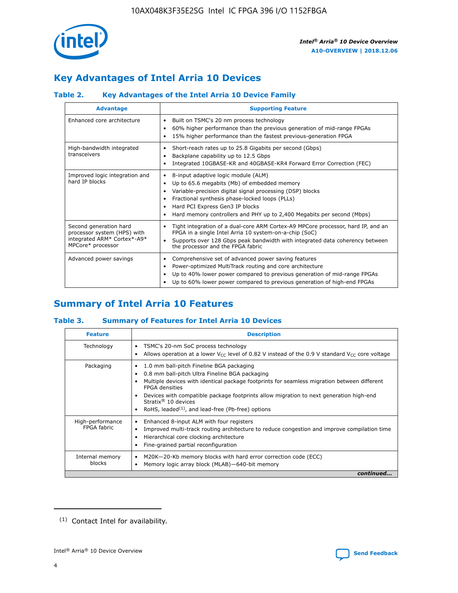

## **Key Advantages of Intel Arria 10 Devices**

## **Table 2. Key Advantages of the Intel Arria 10 Device Family**

| <b>Advantage</b>                                                                                          | <b>Supporting Feature</b>                                                                                                                                                                                                                                                                                                     |
|-----------------------------------------------------------------------------------------------------------|-------------------------------------------------------------------------------------------------------------------------------------------------------------------------------------------------------------------------------------------------------------------------------------------------------------------------------|
| Enhanced core architecture                                                                                | Built on TSMC's 20 nm process technology<br>٠<br>60% higher performance than the previous generation of mid-range FPGAs<br>٠<br>15% higher performance than the fastest previous-generation FPGA<br>٠                                                                                                                         |
| High-bandwidth integrated<br>transceivers                                                                 | Short-reach rates up to 25.8 Gigabits per second (Gbps)<br>٠<br>Backplane capability up to 12.5 Gbps<br>٠<br>Integrated 10GBASE-KR and 40GBASE-KR4 Forward Error Correction (FEC)<br>٠                                                                                                                                        |
| Improved logic integration and<br>hard IP blocks                                                          | 8-input adaptive logic module (ALM)<br>٠<br>Up to 65.6 megabits (Mb) of embedded memory<br>٠<br>Variable-precision digital signal processing (DSP) blocks<br>Fractional synthesis phase-locked loops (PLLs)<br>٠<br>Hard PCI Express Gen3 IP blocks<br>Hard memory controllers and PHY up to 2,400 Megabits per second (Mbps) |
| Second generation hard<br>processor system (HPS) with<br>integrated ARM* Cortex*-A9*<br>MPCore* processor | Tight integration of a dual-core ARM Cortex-A9 MPCore processor, hard IP, and an<br>٠<br>FPGA in a single Intel Arria 10 system-on-a-chip (SoC)<br>Supports over 128 Gbps peak bandwidth with integrated data coherency between<br>$\bullet$<br>the processor and the FPGA fabric                                             |
| Advanced power savings                                                                                    | Comprehensive set of advanced power saving features<br>٠<br>Power-optimized MultiTrack routing and core architecture<br>٠<br>Up to 40% lower power compared to previous generation of mid-range FPGAs<br>٠<br>Up to 60% lower power compared to previous generation of high-end FPGAs                                         |

## **Summary of Intel Arria 10 Features**

#### **Table 3. Summary of Features for Intel Arria 10 Devices**

| <b>Feature</b>                  | <b>Description</b>                                                                                                                                                                                                                                                                                                                                                                                       |
|---------------------------------|----------------------------------------------------------------------------------------------------------------------------------------------------------------------------------------------------------------------------------------------------------------------------------------------------------------------------------------------------------------------------------------------------------|
| Technology                      | TSMC's 20-nm SoC process technology<br>٠<br>Allows operation at a lower $V_{\text{CC}}$ level of 0.82 V instead of the 0.9 V standard $V_{\text{CC}}$ core voltage                                                                                                                                                                                                                                       |
| Packaging                       | 1.0 mm ball-pitch Fineline BGA packaging<br>0.8 mm ball-pitch Ultra Fineline BGA packaging<br>Multiple devices with identical package footprints for seamless migration between different<br><b>FPGA</b> densities<br>Devices with compatible package footprints allow migration to next generation high-end<br>Stratix $\mathcal{R}$ 10 devices<br>RoHS, leaded $(1)$ , and lead-free (Pb-free) options |
| High-performance<br>FPGA fabric | Enhanced 8-input ALM with four registers<br>٠<br>Improved multi-track routing architecture to reduce congestion and improve compilation time<br>Hierarchical core clocking architecture<br>Fine-grained partial reconfiguration                                                                                                                                                                          |
| Internal memory<br>blocks       | M20K-20-Kb memory blocks with hard error correction code (ECC)<br>Memory logic array block (MLAB)-640-bit memory                                                                                                                                                                                                                                                                                         |
|                                 | continued                                                                                                                                                                                                                                                                                                                                                                                                |



<sup>(1)</sup> Contact Intel for availability.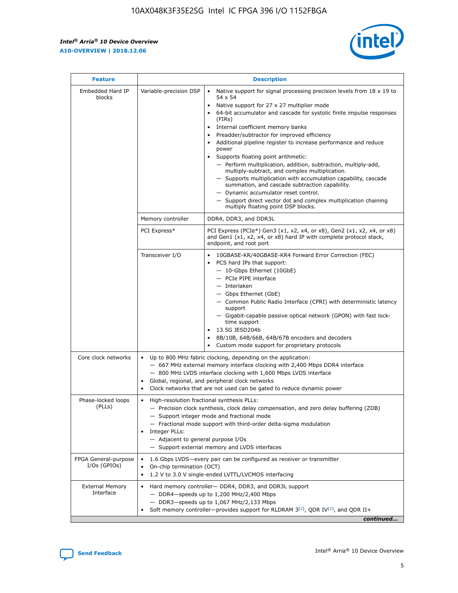$\mathsf{r}$ 



| <b>Feature</b>                         |                                                                                                                                                            | <b>Description</b>                                                                                                                                                                                                                                                                                                                                                                                                                                                                                                                                                                                                                                                                                                                                                                                                                                               |  |  |  |  |  |
|----------------------------------------|------------------------------------------------------------------------------------------------------------------------------------------------------------|------------------------------------------------------------------------------------------------------------------------------------------------------------------------------------------------------------------------------------------------------------------------------------------------------------------------------------------------------------------------------------------------------------------------------------------------------------------------------------------------------------------------------------------------------------------------------------------------------------------------------------------------------------------------------------------------------------------------------------------------------------------------------------------------------------------------------------------------------------------|--|--|--|--|--|
| Embedded Hard IP<br>blocks             | Variable-precision DSP                                                                                                                                     | Native support for signal processing precision levels from $18 \times 19$ to<br>$\bullet$<br>54 x 54<br>Native support for 27 x 27 multiplier mode<br>$\bullet$<br>64-bit accumulator and cascade for systolic finite impulse responses<br>(FIRs)<br>Internal coefficient memory banks<br>$\bullet$<br>Preadder/subtractor for improved efficiency<br>Additional pipeline register to increase performance and reduce<br>power<br>Supports floating point arithmetic:<br>- Perform multiplication, addition, subtraction, multiply-add,<br>multiply-subtract, and complex multiplication.<br>- Supports multiplication with accumulation capability, cascade<br>summation, and cascade subtraction capability.<br>- Dynamic accumulator reset control.<br>- Support direct vector dot and complex multiplication chaining<br>multiply floating point DSP blocks. |  |  |  |  |  |
|                                        | Memory controller                                                                                                                                          | DDR4, DDR3, and DDR3L                                                                                                                                                                                                                                                                                                                                                                                                                                                                                                                                                                                                                                                                                                                                                                                                                                            |  |  |  |  |  |
|                                        | PCI Express*                                                                                                                                               | PCI Express (PCIe*) Gen3 (x1, x2, x4, or x8), Gen2 (x1, x2, x4, or x8)<br>and Gen1 (x1, x2, x4, or x8) hard IP with complete protocol stack,<br>endpoint, and root port                                                                                                                                                                                                                                                                                                                                                                                                                                                                                                                                                                                                                                                                                          |  |  |  |  |  |
|                                        | Transceiver I/O                                                                                                                                            | 10GBASE-KR/40GBASE-KR4 Forward Error Correction (FEC)<br>PCS hard IPs that support:<br>- 10-Gbps Ethernet (10GbE)<br>- PCIe PIPE interface<br>- Interlaken<br>- Gbps Ethernet (GbE)<br>- Common Public Radio Interface (CPRI) with deterministic latency<br>support<br>- Gigabit-capable passive optical network (GPON) with fast lock-<br>time support<br>13.5G JESD204b<br>$\bullet$<br>8B/10B, 64B/66B, 64B/67B encoders and decoders<br>Custom mode support for proprietary protocols                                                                                                                                                                                                                                                                                                                                                                        |  |  |  |  |  |
| Core clock networks                    | $\bullet$<br>$\bullet$                                                                                                                                     | Up to 800 MHz fabric clocking, depending on the application:<br>- 667 MHz external memory interface clocking with 2,400 Mbps DDR4 interface<br>- 800 MHz LVDS interface clocking with 1,600 Mbps LVDS interface<br>Global, regional, and peripheral clock networks<br>Clock networks that are not used can be gated to reduce dynamic power                                                                                                                                                                                                                                                                                                                                                                                                                                                                                                                      |  |  |  |  |  |
| Phase-locked loops<br>(PLLs)           | High-resolution fractional synthesis PLLs:<br>Integer PLLs:<br>- Adjacent to general purpose I/Os                                                          | - Precision clock synthesis, clock delay compensation, and zero delay buffering (ZDB)<br>- Support integer mode and fractional mode<br>- Fractional mode support with third-order delta-sigma modulation<br>- Support external memory and LVDS interfaces                                                                                                                                                                                                                                                                                                                                                                                                                                                                                                                                                                                                        |  |  |  |  |  |
| FPGA General-purpose<br>$I/Os$ (GPIOs) | 1.6 Gbps LVDS—every pair can be configured as receiver or transmitter<br>On-chip termination (OCT)<br>1.2 V to 3.0 V single-ended LVTTL/LVCMOS interfacing |                                                                                                                                                                                                                                                                                                                                                                                                                                                                                                                                                                                                                                                                                                                                                                                                                                                                  |  |  |  |  |  |
| <b>External Memory</b><br>Interface    |                                                                                                                                                            | Hard memory controller- DDR4, DDR3, and DDR3L support<br>$-$ DDR4-speeds up to 1,200 MHz/2,400 Mbps<br>$-$ DDR3-speeds up to 1,067 MHz/2,133 Mbps<br>Soft memory controller—provides support for RLDRAM $3^{(2)}$ , QDR IV $(2^2)$ , and QDR II+<br>continued                                                                                                                                                                                                                                                                                                                                                                                                                                                                                                                                                                                                    |  |  |  |  |  |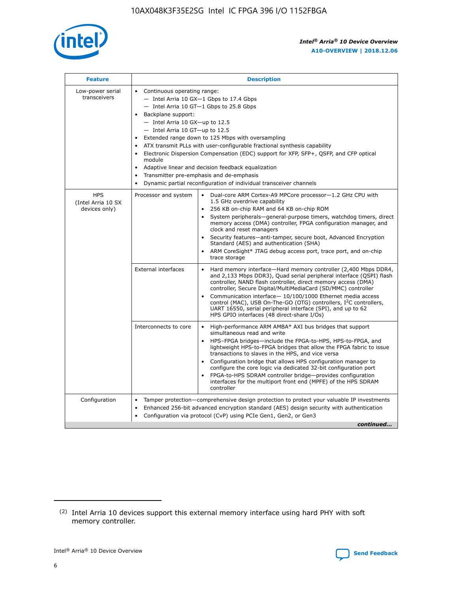

| <b>Feature</b>                                    | <b>Description</b>                                                                                                                                                                                                                                                                                                                                                                                                                                                                                                                                                                                                                                  |
|---------------------------------------------------|-----------------------------------------------------------------------------------------------------------------------------------------------------------------------------------------------------------------------------------------------------------------------------------------------------------------------------------------------------------------------------------------------------------------------------------------------------------------------------------------------------------------------------------------------------------------------------------------------------------------------------------------------------|
| Low-power serial<br>transceivers                  | • Continuous operating range:<br>- Intel Arria 10 GX-1 Gbps to 17.4 Gbps<br>- Intel Arria 10 GT-1 Gbps to 25.8 Gbps<br>Backplane support:<br>- Intel Arria 10 GX-up to 12.5<br>- Intel Arria 10 GT-up to 12.5<br>Extended range down to 125 Mbps with oversampling<br>ATX transmit PLLs with user-configurable fractional synthesis capability<br>Electronic Dispersion Compensation (EDC) support for XFP, SFP+, QSFP, and CFP optical<br>module<br>Adaptive linear and decision feedback equalization<br>$\bullet$<br>Transmitter pre-emphasis and de-emphasis<br>$\bullet$<br>Dynamic partial reconfiguration of individual transceiver channels |
| <b>HPS</b><br>(Intel Arria 10 SX<br>devices only) | Dual-core ARM Cortex-A9 MPCore processor-1.2 GHz CPU with<br>Processor and system<br>$\bullet$<br>1.5 GHz overdrive capability<br>256 KB on-chip RAM and 64 KB on-chip ROM<br>System peripherals—general-purpose timers, watchdog timers, direct<br>memory access (DMA) controller, FPGA configuration manager, and<br>clock and reset managers<br>Security features-anti-tamper, secure boot, Advanced Encryption<br>Standard (AES) and authentication (SHA)<br>ARM CoreSight* JTAG debug access port, trace port, and on-chip<br>trace storage                                                                                                    |
|                                                   | <b>External interfaces</b><br>Hard memory interface-Hard memory controller (2,400 Mbps DDR4,<br>$\bullet$<br>and 2,133 Mbps DDR3), Quad serial peripheral interface (QSPI) flash<br>controller, NAND flash controller, direct memory access (DMA)<br>controller, Secure Digital/MultiMediaCard (SD/MMC) controller<br>Communication interface-10/100/1000 Ethernet media access<br>control (MAC), USB On-The-GO (OTG) controllers, I <sup>2</sup> C controllers,<br>UART 16550, serial peripheral interface (SPI), and up to 62<br>HPS GPIO interfaces (48 direct-share I/Os)                                                                       |
|                                                   | High-performance ARM AMBA* AXI bus bridges that support<br>Interconnects to core<br>$\bullet$<br>simultaneous read and write<br>HPS-FPGA bridges-include the FPGA-to-HPS, HPS-to-FPGA, and<br>$\bullet$<br>lightweight HPS-to-FPGA bridges that allow the FPGA fabric to issue<br>transactions to slaves in the HPS, and vice versa<br>Configuration bridge that allows HPS configuration manager to<br>configure the core logic via dedicated 32-bit configuration port<br>FPGA-to-HPS SDRAM controller bridge-provides configuration<br>interfaces for the multiport front end (MPFE) of the HPS SDRAM<br>controller                              |
| Configuration                                     | Tamper protection—comprehensive design protection to protect your valuable IP investments<br>Enhanced 256-bit advanced encryption standard (AES) design security with authentication<br>٠<br>Configuration via protocol (CvP) using PCIe Gen1, Gen2, or Gen3<br>continued                                                                                                                                                                                                                                                                                                                                                                           |

<sup>(2)</sup> Intel Arria 10 devices support this external memory interface using hard PHY with soft memory controller.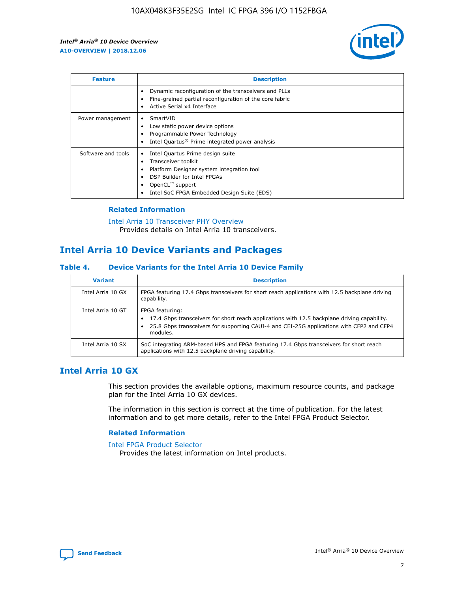

| <b>Feature</b>     | <b>Description</b>                                                                                                                                                                                               |
|--------------------|------------------------------------------------------------------------------------------------------------------------------------------------------------------------------------------------------------------|
|                    | Dynamic reconfiguration of the transceivers and PLLs<br>Fine-grained partial reconfiguration of the core fabric<br>Active Serial x4 Interface<br>$\bullet$                                                       |
| Power management   | SmartVID<br>Low static power device options<br>Programmable Power Technology<br>Intel Quartus <sup>®</sup> Prime integrated power analysis                                                                       |
| Software and tools | Intel Quartus Prime design suite<br>Transceiver toolkit<br>Platform Designer system integration tool<br>DSP Builder for Intel FPGAs<br>OpenCL <sup>™</sup> support<br>Intel SoC FPGA Embedded Design Suite (EDS) |

#### **Related Information**

[Intel Arria 10 Transceiver PHY Overview](https://www.intel.com/content/www/us/en/programmable/documentation/nik1398707230472.html#nik1398706768037) Provides details on Intel Arria 10 transceivers.

## **Intel Arria 10 Device Variants and Packages**

#### **Table 4. Device Variants for the Intel Arria 10 Device Family**

| <b>Variant</b>    | <b>Description</b>                                                                                                                                                                                                     |
|-------------------|------------------------------------------------------------------------------------------------------------------------------------------------------------------------------------------------------------------------|
| Intel Arria 10 GX | FPGA featuring 17.4 Gbps transceivers for short reach applications with 12.5 backplane driving<br>capability.                                                                                                          |
| Intel Arria 10 GT | FPGA featuring:<br>17.4 Gbps transceivers for short reach applications with 12.5 backplane driving capability.<br>25.8 Gbps transceivers for supporting CAUI-4 and CEI-25G applications with CFP2 and CFP4<br>modules. |
| Intel Arria 10 SX | SoC integrating ARM-based HPS and FPGA featuring 17.4 Gbps transceivers for short reach<br>applications with 12.5 backplane driving capability.                                                                        |

## **Intel Arria 10 GX**

This section provides the available options, maximum resource counts, and package plan for the Intel Arria 10 GX devices.

The information in this section is correct at the time of publication. For the latest information and to get more details, refer to the Intel FPGA Product Selector.

#### **Related Information**

#### [Intel FPGA Product Selector](http://www.altera.com/products/selector/psg-selector.html) Provides the latest information on Intel products.

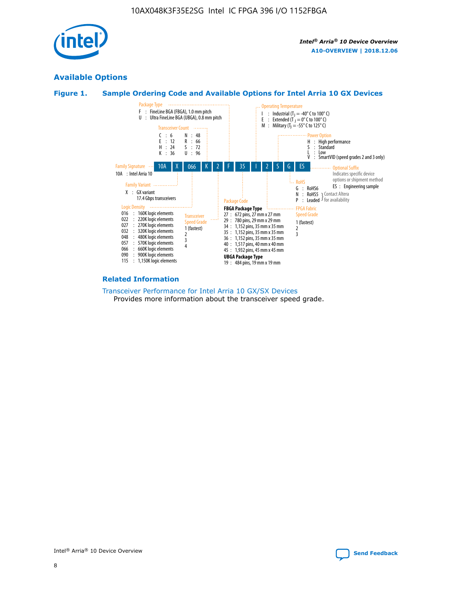

## **Available Options**





#### **Related Information**

[Transceiver Performance for Intel Arria 10 GX/SX Devices](https://www.intel.com/content/www/us/en/programmable/documentation/mcn1413182292568.html#mcn1413213965502) Provides more information about the transceiver speed grade.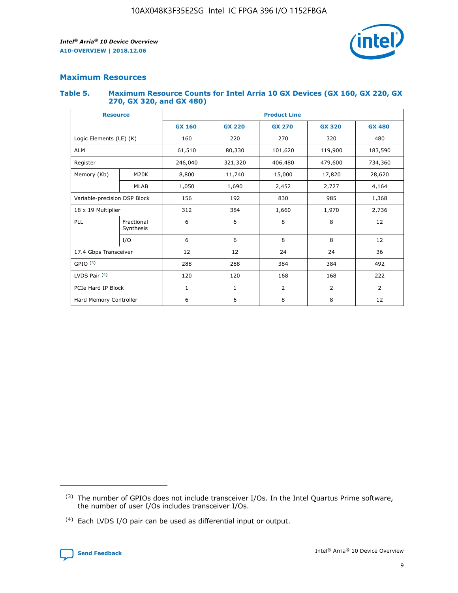

#### **Maximum Resources**

#### **Table 5. Maximum Resource Counts for Intel Arria 10 GX Devices (GX 160, GX 220, GX 270, GX 320, and GX 480)**

| <b>Resource</b>              |                         | <b>Product Line</b> |                    |                |                |                |  |  |
|------------------------------|-------------------------|---------------------|--------------------|----------------|----------------|----------------|--|--|
|                              |                         | <b>GX 160</b>       | <b>GX 220</b>      | <b>GX 270</b>  | <b>GX 320</b>  | <b>GX 480</b>  |  |  |
| Logic Elements (LE) (K)      |                         | 160                 | 220                | 270            | 320            | 480            |  |  |
| <b>ALM</b>                   |                         | 61,510              | 80,330             | 101,620        | 119,900        | 183,590        |  |  |
| Register                     |                         | 246,040             | 406,480<br>321,320 |                | 479,600        | 734,360        |  |  |
| Memory (Kb)                  | M <sub>20</sub> K       | 8,800               | 11,740             | 15,000         | 17,820         | 28,620         |  |  |
|                              | <b>MLAB</b>             | 1,050               | 1,690              | 2,452          | 2,727          | 4,164          |  |  |
| Variable-precision DSP Block |                         | 156                 | 192                | 830            | 985            |                |  |  |
| 18 x 19 Multiplier           |                         | 312                 | 384                | 1,970<br>1,660 |                | 2,736          |  |  |
| PLL                          | Fractional<br>Synthesis | 6                   | 6                  | 8              | 8              | 12             |  |  |
|                              | I/O                     | 6                   | 6                  | 8              | 8              | 12             |  |  |
| 17.4 Gbps Transceiver        |                         | 12                  | 12                 | 24             | 24             | 36             |  |  |
| GPIO <sup>(3)</sup>          |                         | 288                 | 288                | 384<br>384     |                | 492            |  |  |
| LVDS Pair $(4)$              |                         | 120                 | 120                | 168            | 168            | 222            |  |  |
| PCIe Hard IP Block           |                         | 1                   | 1                  | 2              | $\overline{2}$ | $\overline{2}$ |  |  |
| Hard Memory Controller       |                         | 6                   | 6                  | 8              | 8              | 12             |  |  |

<sup>(4)</sup> Each LVDS I/O pair can be used as differential input or output.



<sup>(3)</sup> The number of GPIOs does not include transceiver I/Os. In the Intel Quartus Prime software, the number of user I/Os includes transceiver I/Os.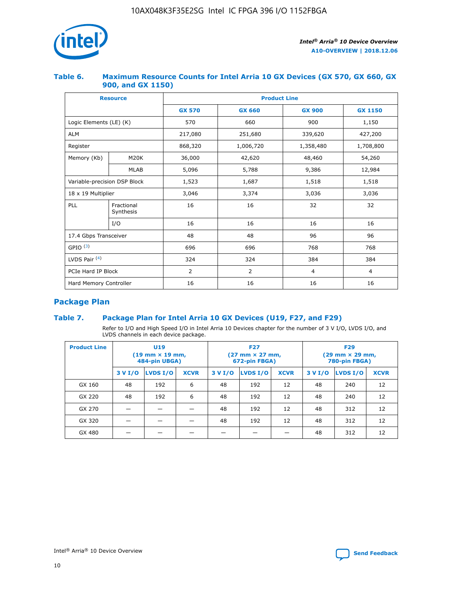

#### **Table 6. Maximum Resource Counts for Intel Arria 10 GX Devices (GX 570, GX 660, GX 900, and GX 1150)**

|                              | <b>Resource</b>         | <b>Product Line</b> |                        |                |                |  |  |  |
|------------------------------|-------------------------|---------------------|------------------------|----------------|----------------|--|--|--|
|                              |                         | <b>GX 570</b>       | <b>GX 660</b>          | <b>GX 900</b>  | <b>GX 1150</b> |  |  |  |
| Logic Elements (LE) (K)      |                         | 570                 | 660                    | 900            | 1,150          |  |  |  |
| <b>ALM</b>                   |                         | 217,080             | 251,680                | 339,620        | 427,200        |  |  |  |
| Register                     |                         | 868,320             | 1,006,720<br>1,358,480 |                | 1,708,800      |  |  |  |
| Memory (Kb)                  | <b>M20K</b>             | 36,000              | 42,620                 | 48,460         | 54,260         |  |  |  |
|                              | <b>MLAB</b>             | 5,096               | 5,788                  | 9,386          | 12,984         |  |  |  |
| Variable-precision DSP Block |                         | 1,523               | 1,687                  | 1,518          | 1,518          |  |  |  |
| $18 \times 19$ Multiplier    |                         | 3,046               | 3,374                  | 3,036          | 3,036          |  |  |  |
| PLL                          | Fractional<br>Synthesis | 16                  | 16                     | 32             | 32             |  |  |  |
|                              | I/O                     | 16                  | 16                     | 16             | 16             |  |  |  |
| 17.4 Gbps Transceiver        |                         | 48                  | 48<br>96               |                | 96             |  |  |  |
| GPIO <sup>(3)</sup>          |                         | 696                 | 696                    | 768            | 768            |  |  |  |
| LVDS Pair $(4)$              |                         | 324                 | 324                    | 384            | 384            |  |  |  |
| PCIe Hard IP Block           |                         | 2                   | $\overline{2}$         | $\overline{4}$ | 4              |  |  |  |
| Hard Memory Controller       |                         | 16                  | 16                     | 16             | 16             |  |  |  |

## **Package Plan**

#### **Table 7. Package Plan for Intel Arria 10 GX Devices (U19, F27, and F29)**

Refer to I/O and High Speed I/O in Intel Arria 10 Devices chapter for the number of 3 V I/O, LVDS I/O, and LVDS channels in each device package.

| <b>Product Line</b> | U <sub>19</sub><br>$(19 \text{ mm} \times 19 \text{ mm})$<br>484-pin UBGA) |          |             | <b>F27</b><br>(27 mm × 27 mm,<br>672-pin FBGA) |                 |             | <b>F29</b><br>(29 mm × 29 mm,<br>780-pin FBGA) |          |             |  |
|---------------------|----------------------------------------------------------------------------|----------|-------------|------------------------------------------------|-----------------|-------------|------------------------------------------------|----------|-------------|--|
|                     | 3 V I/O                                                                    | LVDS I/O | <b>XCVR</b> | 3 V I/O                                        | <b>LVDS I/O</b> | <b>XCVR</b> | 3 V I/O                                        | LVDS I/O | <b>XCVR</b> |  |
| GX 160              | 48                                                                         | 192      | 6           | 48                                             | 192             | 12          | 48                                             | 240      | 12          |  |
| GX 220              | 48                                                                         | 192      | 6           | 48                                             | 192             | 12          | 48                                             | 240      | 12          |  |
| GX 270              |                                                                            |          |             | 48                                             | 192             | 12          | 48                                             | 312      | 12          |  |
| GX 320              |                                                                            |          |             | 48                                             | 192             | 12          | 48                                             | 312      | 12          |  |
| GX 480              |                                                                            |          |             |                                                |                 |             | 48                                             | 312      | 12          |  |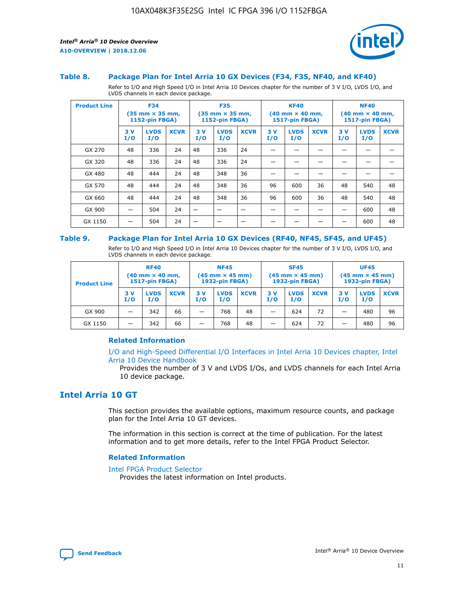

#### **Table 8. Package Plan for Intel Arria 10 GX Devices (F34, F35, NF40, and KF40)**

Refer to I/O and High Speed I/O in Intel Arria 10 Devices chapter for the number of 3 V I/O, LVDS I/O, and LVDS channels in each device package.

| <b>Product Line</b> | <b>F34</b><br>$(35 \text{ mm} \times 35 \text{ mm})$<br>1152-pin FBGA) |                    | <b>F35</b><br>$(35$ mm $\times$ 35 mm,<br><b>1152-pin FBGA)</b> |           | <b>KF40</b><br>$(40 \text{ mm} \times 40 \text{ mm})$<br>1517-pin FBGA) |             |           | <b>NF40</b><br>$(40 \text{ mm} \times 40 \text{ mm})$<br><b>1517-pin FBGA)</b> |             |            |                    |             |
|---------------------|------------------------------------------------------------------------|--------------------|-----------------------------------------------------------------|-----------|-------------------------------------------------------------------------|-------------|-----------|--------------------------------------------------------------------------------|-------------|------------|--------------------|-------------|
|                     | 3V<br>I/O                                                              | <b>LVDS</b><br>I/O | <b>XCVR</b>                                                     | 3V<br>I/O | <b>LVDS</b><br>I/O                                                      | <b>XCVR</b> | 3V<br>I/O | <b>LVDS</b><br>I/O                                                             | <b>XCVR</b> | 3 V<br>I/O | <b>LVDS</b><br>I/O | <b>XCVR</b> |
| GX 270              | 48                                                                     | 336                | 24                                                              | 48        | 336                                                                     | 24          |           |                                                                                |             |            |                    |             |
| GX 320              | 48                                                                     | 336                | 24                                                              | 48        | 336                                                                     | 24          |           |                                                                                |             |            |                    |             |
| GX 480              | 48                                                                     | 444                | 24                                                              | 48        | 348                                                                     | 36          |           |                                                                                |             |            |                    |             |
| GX 570              | 48                                                                     | 444                | 24                                                              | 48        | 348                                                                     | 36          | 96        | 600                                                                            | 36          | 48         | 540                | 48          |
| GX 660              | 48                                                                     | 444                | 24                                                              | 48        | 348                                                                     | 36          | 96        | 600                                                                            | 36          | 48         | 540                | 48          |
| GX 900              |                                                                        | 504                | 24                                                              |           |                                                                         |             |           |                                                                                |             |            | 600                | 48          |
| GX 1150             |                                                                        | 504                | 24                                                              |           |                                                                         |             |           |                                                                                |             |            | 600                | 48          |

#### **Table 9. Package Plan for Intel Arria 10 GX Devices (RF40, NF45, SF45, and UF45)**

Refer to I/O and High Speed I/O in Intel Arria 10 Devices chapter for the number of 3 V I/O, LVDS I/O, and LVDS channels in each device package.

| <b>Product Line</b> | <b>RF40</b><br>$(40$ mm $\times$ 40 mm,<br>1517-pin FBGA) |                    |             | <b>NF45</b><br>$(45 \text{ mm} \times 45 \text{ mm})$<br><b>1932-pin FBGA)</b> |                    |             | <b>SF45</b><br>$(45 \text{ mm} \times 45 \text{ mm})$<br><b>1932-pin FBGA)</b> |                    |             | <b>UF45</b><br>$(45 \text{ mm} \times 45 \text{ mm})$<br><b>1932-pin FBGA)</b> |                    |             |
|---------------------|-----------------------------------------------------------|--------------------|-------------|--------------------------------------------------------------------------------|--------------------|-------------|--------------------------------------------------------------------------------|--------------------|-------------|--------------------------------------------------------------------------------|--------------------|-------------|
|                     | 3V<br>I/O                                                 | <b>LVDS</b><br>I/O | <b>XCVR</b> | 3 V<br>I/O                                                                     | <b>LVDS</b><br>I/O | <b>XCVR</b> | 3 V<br>I/O                                                                     | <b>LVDS</b><br>I/O | <b>XCVR</b> | 3V<br>I/O                                                                      | <b>LVDS</b><br>I/O | <b>XCVR</b> |
| GX 900              |                                                           | 342                | 66          | _                                                                              | 768                | 48          |                                                                                | 624                | 72          |                                                                                | 480                | 96          |
| GX 1150             |                                                           | 342                | 66          | _                                                                              | 768                | 48          |                                                                                | 624                | 72          |                                                                                | 480                | 96          |

#### **Related Information**

[I/O and High-Speed Differential I/O Interfaces in Intel Arria 10 Devices chapter, Intel](https://www.intel.com/content/www/us/en/programmable/documentation/sam1403482614086.html#sam1403482030321) [Arria 10 Device Handbook](https://www.intel.com/content/www/us/en/programmable/documentation/sam1403482614086.html#sam1403482030321)

Provides the number of 3 V and LVDS I/Os, and LVDS channels for each Intel Arria 10 device package.

## **Intel Arria 10 GT**

This section provides the available options, maximum resource counts, and package plan for the Intel Arria 10 GT devices.

The information in this section is correct at the time of publication. For the latest information and to get more details, refer to the Intel FPGA Product Selector.

#### **Related Information**

#### [Intel FPGA Product Selector](http://www.altera.com/products/selector/psg-selector.html)

Provides the latest information on Intel products.

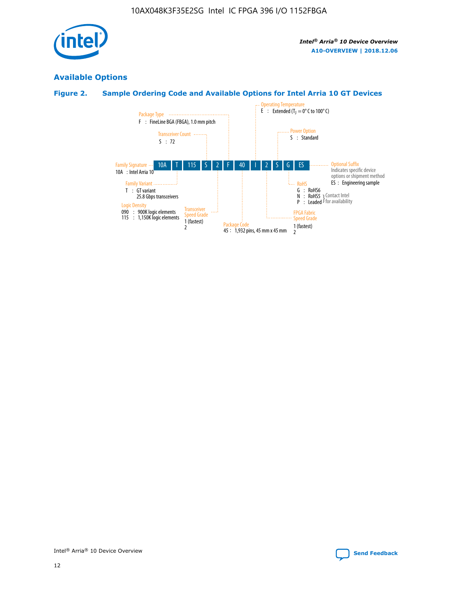

## **Available Options**

## **Figure 2. Sample Ordering Code and Available Options for Intel Arria 10 GT Devices**

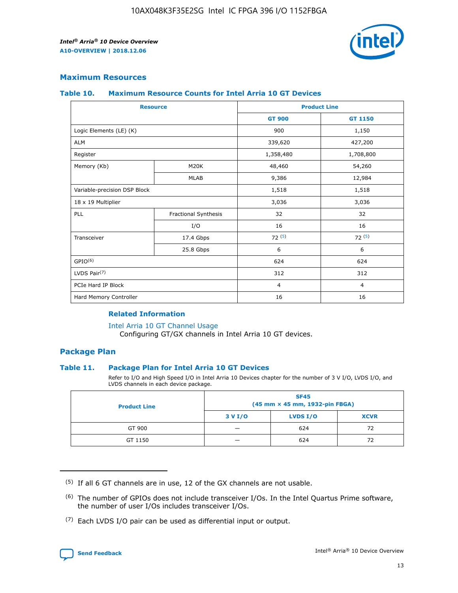

#### **Maximum Resources**

#### **Table 10. Maximum Resource Counts for Intel Arria 10 GT Devices**

| <b>Resource</b>              |                      | <b>Product Line</b> |                |  |
|------------------------------|----------------------|---------------------|----------------|--|
|                              |                      | <b>GT 900</b>       | <b>GT 1150</b> |  |
| Logic Elements (LE) (K)      |                      | 900                 | 1,150          |  |
| <b>ALM</b>                   |                      | 339,620             | 427,200        |  |
| Register                     |                      | 1,358,480           | 1,708,800      |  |
| Memory (Kb)                  | M20K                 | 48,460              | 54,260         |  |
|                              | <b>MLAB</b>          | 9,386               | 12,984         |  |
| Variable-precision DSP Block |                      | 1,518               | 1,518          |  |
| 18 x 19 Multiplier           |                      | 3,036               | 3,036          |  |
| PLL                          | Fractional Synthesis | 32                  | 32             |  |
|                              | I/O                  | 16                  | 16             |  |
| Transceiver                  | 17.4 Gbps            | 72(5)               | 72(5)          |  |
|                              | 25.8 Gbps            | 6                   | 6              |  |
| GPIO <sup>(6)</sup>          |                      | 624                 | 624            |  |
| LVDS Pair $(7)$              |                      | 312                 | 312            |  |
| PCIe Hard IP Block           |                      | $\overline{4}$      | $\overline{4}$ |  |
| Hard Memory Controller       |                      | 16                  | 16             |  |

#### **Related Information**

#### [Intel Arria 10 GT Channel Usage](https://www.intel.com/content/www/us/en/programmable/documentation/nik1398707230472.html#nik1398707008178)

Configuring GT/GX channels in Intel Arria 10 GT devices.

#### **Package Plan**

#### **Table 11. Package Plan for Intel Arria 10 GT Devices**

Refer to I/O and High Speed I/O in Intel Arria 10 Devices chapter for the number of 3 V I/O, LVDS I/O, and LVDS channels in each device package.

| <b>Product Line</b> | <b>SF45</b><br>(45 mm × 45 mm, 1932-pin FBGA) |                 |             |  |  |  |
|---------------------|-----------------------------------------------|-----------------|-------------|--|--|--|
|                     | 3 V I/O                                       | <b>LVDS I/O</b> | <b>XCVR</b> |  |  |  |
| GT 900              |                                               | 624             | 72          |  |  |  |
| GT 1150             |                                               | 624             | 72          |  |  |  |

<sup>(7)</sup> Each LVDS I/O pair can be used as differential input or output.



 $(5)$  If all 6 GT channels are in use, 12 of the GX channels are not usable.

<sup>(6)</sup> The number of GPIOs does not include transceiver I/Os. In the Intel Quartus Prime software, the number of user I/Os includes transceiver I/Os.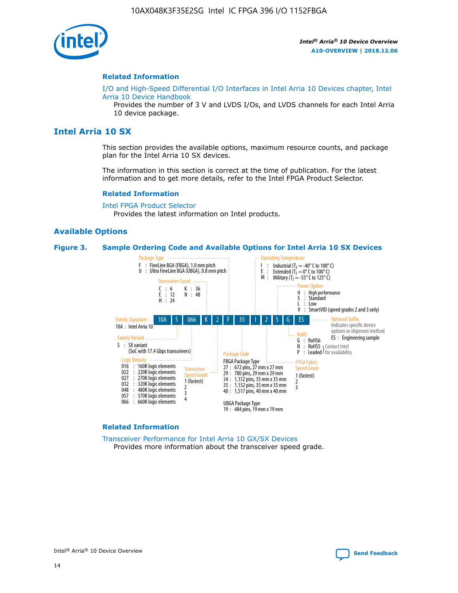

#### **Related Information**

[I/O and High-Speed Differential I/O Interfaces in Intel Arria 10 Devices chapter, Intel](https://www.intel.com/content/www/us/en/programmable/documentation/sam1403482614086.html#sam1403482030321) [Arria 10 Device Handbook](https://www.intel.com/content/www/us/en/programmable/documentation/sam1403482614086.html#sam1403482030321)

Provides the number of 3 V and LVDS I/Os, and LVDS channels for each Intel Arria 10 device package.

## **Intel Arria 10 SX**

This section provides the available options, maximum resource counts, and package plan for the Intel Arria 10 SX devices.

The information in this section is correct at the time of publication. For the latest information and to get more details, refer to the Intel FPGA Product Selector.

#### **Related Information**

[Intel FPGA Product Selector](http://www.altera.com/products/selector/psg-selector.html) Provides the latest information on Intel products.

#### **Available Options**

#### **Figure 3. Sample Ordering Code and Available Options for Intel Arria 10 SX Devices**



#### **Related Information**

[Transceiver Performance for Intel Arria 10 GX/SX Devices](https://www.intel.com/content/www/us/en/programmable/documentation/mcn1413182292568.html#mcn1413213965502) Provides more information about the transceiver speed grade.

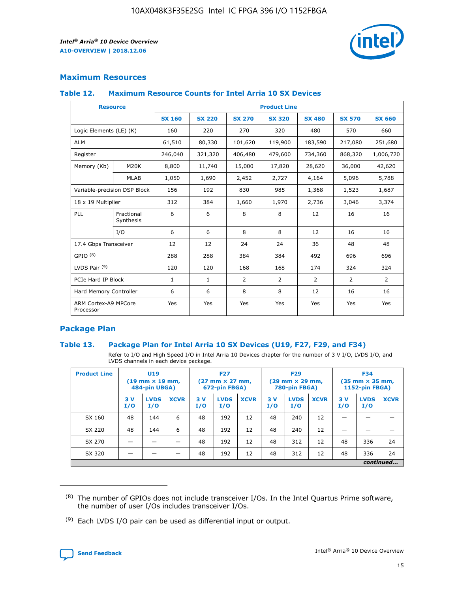

#### **Maximum Resources**

#### **Table 12. Maximum Resource Counts for Intel Arria 10 SX Devices**

|                                   | <b>Resource</b>         | <b>Product Line</b> |               |                |                |                |                |                |  |  |  |
|-----------------------------------|-------------------------|---------------------|---------------|----------------|----------------|----------------|----------------|----------------|--|--|--|
|                                   |                         | <b>SX 160</b>       | <b>SX 220</b> | <b>SX 270</b>  | <b>SX 320</b>  | <b>SX 480</b>  | <b>SX 570</b>  | <b>SX 660</b>  |  |  |  |
| Logic Elements (LE) (K)           |                         | 160                 | 220           | 270            | 320            | 480            | 570            | 660            |  |  |  |
| <b>ALM</b>                        |                         | 61,510              | 80,330        | 101,620        | 119,900        | 183,590        | 217,080        | 251,680        |  |  |  |
| Register                          |                         | 246,040             | 321,320       | 406,480        | 479,600        | 734,360        | 868,320        | 1,006,720      |  |  |  |
| Memory (Kb)                       | M <sub>20</sub> K       | 8,800               | 11,740        | 15,000         | 17,820         | 28,620         | 36,000         | 42,620         |  |  |  |
|                                   | <b>MLAB</b>             | 1,050               | 1,690         | 2,452          | 2,727          | 4,164          | 5,096          | 5,788          |  |  |  |
| Variable-precision DSP Block      |                         | 156                 | 192           | 830            | 985            | 1,368          | 1,523          | 1,687          |  |  |  |
| 18 x 19 Multiplier                |                         | 312                 | 384           | 1,660          | 1,970          | 2,736          | 3,046          | 3,374          |  |  |  |
| <b>PLL</b>                        | Fractional<br>Synthesis | 6                   | 6             | 8              | 8              | 12             | 16             | 16             |  |  |  |
|                                   | I/O                     | 6                   | 6             | 8              | 8              | 12             | 16             | 16             |  |  |  |
| 17.4 Gbps Transceiver             |                         | 12                  | 12            | 24             | 24             | 36             | 48             | 48             |  |  |  |
| GPIO <sup>(8)</sup>               |                         | 288                 | 288           | 384            | 384            | 492            | 696            | 696            |  |  |  |
| LVDS Pair $(9)$                   |                         | 120                 | 120           | 168            | 168            | 174            | 324            | 324            |  |  |  |
| PCIe Hard IP Block                |                         | $\mathbf{1}$        | $\mathbf{1}$  | $\overline{2}$ | $\overline{2}$ | $\overline{2}$ | $\overline{2}$ | $\overline{2}$ |  |  |  |
| Hard Memory Controller            |                         | 6                   | 6             | 8              | 8              | 12             | 16             | 16             |  |  |  |
| ARM Cortex-A9 MPCore<br>Processor |                         | Yes                 | Yes           | Yes            | Yes            | Yes            | Yes            | Yes            |  |  |  |

#### **Package Plan**

#### **Table 13. Package Plan for Intel Arria 10 SX Devices (U19, F27, F29, and F34)**

Refer to I/O and High Speed I/O in Intel Arria 10 Devices chapter for the number of 3 V I/O, LVDS I/O, and LVDS channels in each device package.

| <b>Product Line</b> | <b>U19</b><br>$(19 \text{ mm} \times 19 \text{ mm})$<br>484-pin UBGA) |                    |             | <b>F27</b><br>$(27 \text{ mm} \times 27 \text{ mm})$<br>672-pin FBGA) |                    | <b>F29</b><br>$(29 \text{ mm} \times 29 \text{ mm})$<br>780-pin FBGA) |           |                    | <b>F34</b><br>$(35 \text{ mm} \times 35 \text{ mm})$<br><b>1152-pin FBGA)</b> |           |                    |             |
|---------------------|-----------------------------------------------------------------------|--------------------|-------------|-----------------------------------------------------------------------|--------------------|-----------------------------------------------------------------------|-----------|--------------------|-------------------------------------------------------------------------------|-----------|--------------------|-------------|
|                     | 3V<br>I/O                                                             | <b>LVDS</b><br>I/O | <b>XCVR</b> | 3V<br>I/O                                                             | <b>LVDS</b><br>I/O | <b>XCVR</b>                                                           | 3V<br>I/O | <b>LVDS</b><br>I/O | <b>XCVR</b>                                                                   | 3V<br>I/O | <b>LVDS</b><br>I/O | <b>XCVR</b> |
| SX 160              | 48                                                                    | 144                | 6           | 48                                                                    | 192                | 12                                                                    | 48        | 240                | 12                                                                            | -         |                    |             |
| SX 220              | 48                                                                    | 144                | 6           | 48                                                                    | 192                | 12                                                                    | 48        | 240                | 12                                                                            |           |                    |             |
| SX 270              |                                                                       |                    |             | 48                                                                    | 192                | 12                                                                    | 48        | 312                | 12                                                                            | 48        | 336                | 24          |
| SX 320              |                                                                       |                    |             | 48                                                                    | 192                | 12                                                                    | 48        | 312                | 12                                                                            | 48        | 336                | 24          |
|                     | continued                                                             |                    |             |                                                                       |                    |                                                                       |           |                    |                                                                               |           |                    |             |

 $(8)$  The number of GPIOs does not include transceiver I/Os. In the Intel Quartus Prime software, the number of user I/Os includes transceiver I/Os.

 $(9)$  Each LVDS I/O pair can be used as differential input or output.

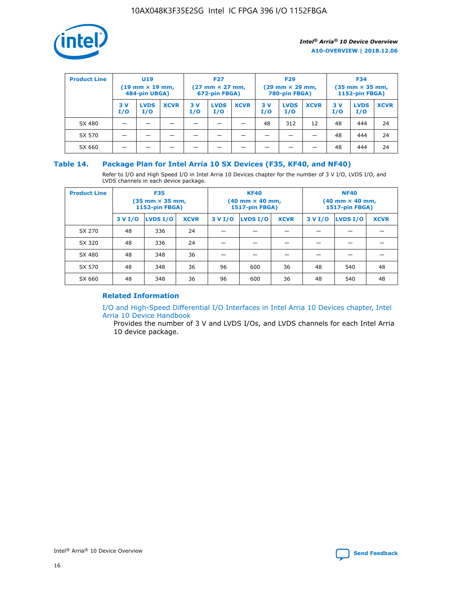

| <b>Product Line</b> | U <sub>19</sub><br>$(19 \text{ mm} \times 19 \text{ mm})$<br>484-pin UBGA) |                    | <b>F27</b><br>$(27 \text{ mm} \times 27 \text{ mm})$<br>672-pin FBGA) |           | <b>F29</b><br>$(29 \text{ mm} \times 29 \text{ mm})$<br>780-pin FBGA) |             |           | <b>F34</b><br>$(35$ mm $\times$ 35 mm,<br><b>1152-pin FBGA)</b> |             |           |                    |             |
|---------------------|----------------------------------------------------------------------------|--------------------|-----------------------------------------------------------------------|-----------|-----------------------------------------------------------------------|-------------|-----------|-----------------------------------------------------------------|-------------|-----------|--------------------|-------------|
|                     | 3V<br>I/O                                                                  | <b>LVDS</b><br>I/O | <b>XCVR</b>                                                           | 3V<br>I/O | <b>LVDS</b><br>I/O                                                    | <b>XCVR</b> | 3V<br>I/O | <b>LVDS</b><br>I/O                                              | <b>XCVR</b> | 3V<br>I/O | <b>LVDS</b><br>I/O | <b>XCVR</b> |
| SX 480              |                                                                            |                    |                                                                       |           |                                                                       |             | 48        | 312                                                             | 12          | 48        | 444                | 24          |
| SX 570              |                                                                            |                    |                                                                       |           |                                                                       |             |           |                                                                 |             | 48        | 444                | 24          |
| SX 660              |                                                                            |                    |                                                                       |           |                                                                       |             |           |                                                                 |             | 48        | 444                | 24          |

#### **Table 14. Package Plan for Intel Arria 10 SX Devices (F35, KF40, and NF40)**

Refer to I/O and High Speed I/O in Intel Arria 10 Devices chapter for the number of 3 V I/O, LVDS I/O, and LVDS channels in each device package.

| <b>Product Line</b> | <b>F35</b><br>$(35 \text{ mm} \times 35 \text{ mm})$<br><b>1152-pin FBGA)</b> |          |             |                                           | <b>KF40</b><br>(40 mm × 40 mm,<br>1517-pin FBGA) |    | <b>NF40</b><br>$(40 \text{ mm} \times 40 \text{ mm})$<br>1517-pin FBGA) |          |             |  |
|---------------------|-------------------------------------------------------------------------------|----------|-------------|-------------------------------------------|--------------------------------------------------|----|-------------------------------------------------------------------------|----------|-------------|--|
|                     | 3 V I/O                                                                       | LVDS I/O | <b>XCVR</b> | <b>LVDS I/O</b><br><b>XCVR</b><br>3 V I/O |                                                  |    | 3 V I/O                                                                 | LVDS I/O | <b>XCVR</b> |  |
| SX 270              | 48                                                                            | 336      | 24          |                                           |                                                  |    |                                                                         |          |             |  |
| SX 320              | 48                                                                            | 336      | 24          |                                           |                                                  |    |                                                                         |          |             |  |
| SX 480              | 48                                                                            | 348      | 36          |                                           |                                                  |    |                                                                         |          |             |  |
| SX 570              | 48                                                                            | 348      | 36          | 96                                        | 600                                              | 36 | 48                                                                      | 540      | 48          |  |
| SX 660              | 48                                                                            | 348      | 36          | 96                                        | 600                                              | 36 | 48                                                                      | 540      | 48          |  |

## **Related Information**

[I/O and High-Speed Differential I/O Interfaces in Intel Arria 10 Devices chapter, Intel](https://www.intel.com/content/www/us/en/programmable/documentation/sam1403482614086.html#sam1403482030321) [Arria 10 Device Handbook](https://www.intel.com/content/www/us/en/programmable/documentation/sam1403482614086.html#sam1403482030321)

Provides the number of 3 V and LVDS I/Os, and LVDS channels for each Intel Arria 10 device package.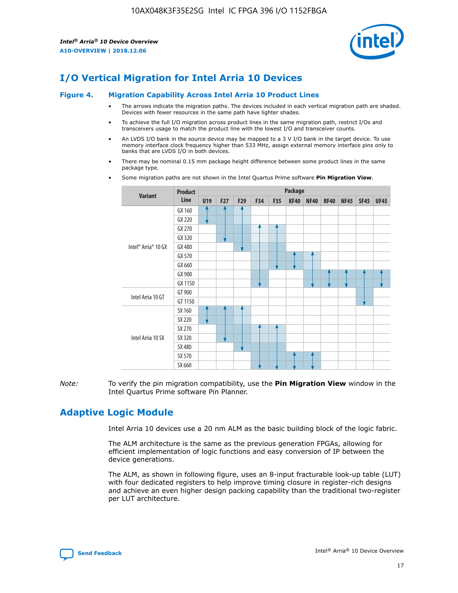

## **I/O Vertical Migration for Intel Arria 10 Devices**

#### **Figure 4. Migration Capability Across Intel Arria 10 Product Lines**

- The arrows indicate the migration paths. The devices included in each vertical migration path are shaded. Devices with fewer resources in the same path have lighter shades.
- To achieve the full I/O migration across product lines in the same migration path, restrict I/Os and transceivers usage to match the product line with the lowest I/O and transceiver counts.
- An LVDS I/O bank in the source device may be mapped to a 3 V I/O bank in the target device. To use memory interface clock frequency higher than 533 MHz, assign external memory interface pins only to banks that are LVDS I/O in both devices.
- There may be nominal 0.15 mm package height difference between some product lines in the same package type.
	- **Variant Product Line Package U19 F27 F29 F34 F35 KF40 NF40 RF40 NF45 SF45 UF45** Intel® Arria® 10 GX GX 160 GX 220 GX 270 GX 320 GX 480 GX 570 GX 660 GX 900 GX 1150 Intel Arria 10 GT GT 900 GT 1150 Intel Arria 10 SX SX 160 SX 220 SX 270 SX 320 SX 480 SX 570 SX 660
- Some migration paths are not shown in the Intel Quartus Prime software **Pin Migration View**.

*Note:* To verify the pin migration compatibility, use the **Pin Migration View** window in the Intel Quartus Prime software Pin Planner.

## **Adaptive Logic Module**

Intel Arria 10 devices use a 20 nm ALM as the basic building block of the logic fabric.

The ALM architecture is the same as the previous generation FPGAs, allowing for efficient implementation of logic functions and easy conversion of IP between the device generations.

The ALM, as shown in following figure, uses an 8-input fracturable look-up table (LUT) with four dedicated registers to help improve timing closure in register-rich designs and achieve an even higher design packing capability than the traditional two-register per LUT architecture.

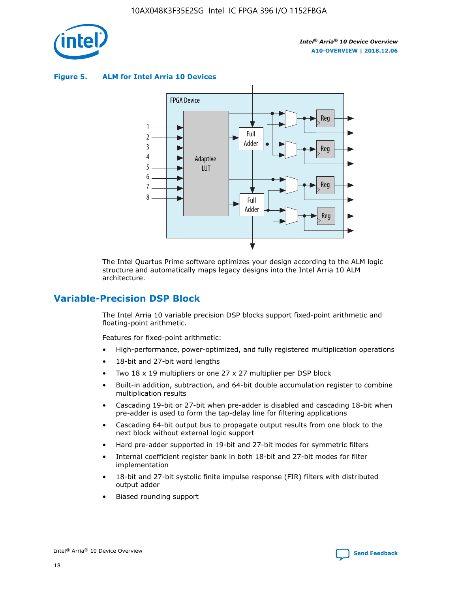

**Figure 5. ALM for Intel Arria 10 Devices**



The Intel Quartus Prime software optimizes your design according to the ALM logic structure and automatically maps legacy designs into the Intel Arria 10 ALM architecture.

## **Variable-Precision DSP Block**

The Intel Arria 10 variable precision DSP blocks support fixed-point arithmetic and floating-point arithmetic.

Features for fixed-point arithmetic:

- High-performance, power-optimized, and fully registered multiplication operations
- 18-bit and 27-bit word lengths
- Two 18 x 19 multipliers or one 27 x 27 multiplier per DSP block
- Built-in addition, subtraction, and 64-bit double accumulation register to combine multiplication results
- Cascading 19-bit or 27-bit when pre-adder is disabled and cascading 18-bit when pre-adder is used to form the tap-delay line for filtering applications
- Cascading 64-bit output bus to propagate output results from one block to the next block without external logic support
- Hard pre-adder supported in 19-bit and 27-bit modes for symmetric filters
- Internal coefficient register bank in both 18-bit and 27-bit modes for filter implementation
- 18-bit and 27-bit systolic finite impulse response (FIR) filters with distributed output adder
- Biased rounding support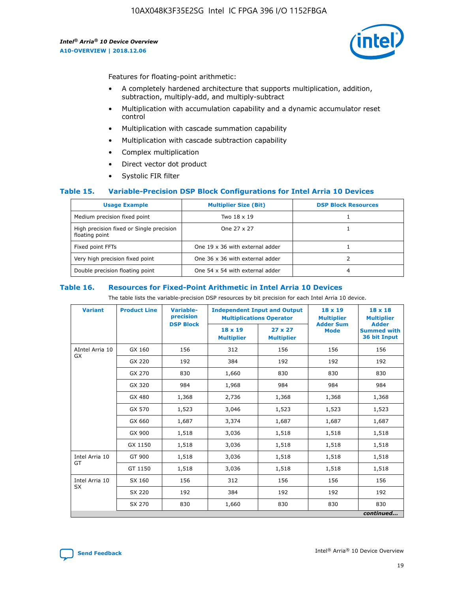

Features for floating-point arithmetic:

- A completely hardened architecture that supports multiplication, addition, subtraction, multiply-add, and multiply-subtract
- Multiplication with accumulation capability and a dynamic accumulator reset control
- Multiplication with cascade summation capability
- Multiplication with cascade subtraction capability
- Complex multiplication
- Direct vector dot product
- Systolic FIR filter

#### **Table 15. Variable-Precision DSP Block Configurations for Intel Arria 10 Devices**

| <b>Usage Example</b>                                       | <b>Multiplier Size (Bit)</b>    | <b>DSP Block Resources</b> |
|------------------------------------------------------------|---------------------------------|----------------------------|
| Medium precision fixed point                               | Two 18 x 19                     |                            |
| High precision fixed or Single precision<br>floating point | One 27 x 27                     |                            |
| Fixed point FFTs                                           | One 19 x 36 with external adder |                            |
| Very high precision fixed point                            | One 36 x 36 with external adder |                            |
| Double precision floating point                            | One 54 x 54 with external adder | 4                          |

#### **Table 16. Resources for Fixed-Point Arithmetic in Intel Arria 10 Devices**

The table lists the variable-precision DSP resources by bit precision for each Intel Arria 10 device.

| <b>Variant</b>  | <b>Product Line</b> | <b>Variable-</b><br>precision<br><b>DSP Block</b> | <b>Independent Input and Output</b><br><b>Multiplications Operator</b> |                                     | 18 x 19<br><b>Multiplier</b><br><b>Adder Sum</b> | $18 \times 18$<br><b>Multiplier</b><br><b>Adder</b> |
|-----------------|---------------------|---------------------------------------------------|------------------------------------------------------------------------|-------------------------------------|--------------------------------------------------|-----------------------------------------------------|
|                 |                     |                                                   | 18 x 19<br><b>Multiplier</b>                                           | $27 \times 27$<br><b>Multiplier</b> | <b>Mode</b>                                      | <b>Summed with</b><br>36 bit Input                  |
| AIntel Arria 10 | GX 160              | 156                                               | 312                                                                    | 156                                 | 156                                              | 156                                                 |
| GX              | GX 220              | 192                                               | 384                                                                    | 192                                 | 192                                              | 192                                                 |
|                 | GX 270              | 830                                               | 1,660                                                                  | 830                                 | 830                                              | 830                                                 |
|                 | GX 320              | 984                                               | 1,968                                                                  | 984                                 | 984                                              | 984                                                 |
|                 | GX 480              | 1,368                                             | 2,736                                                                  | 1,368                               | 1,368                                            | 1,368                                               |
|                 | GX 570              | 1,523                                             | 3,046                                                                  | 1,523                               | 1,523                                            | 1,523                                               |
|                 | GX 660              | 1,687                                             | 3,374                                                                  | 1,687                               | 1,687                                            | 1,687                                               |
|                 | GX 900              | 1,518                                             | 3,036                                                                  | 1,518                               | 1,518                                            | 1,518                                               |
|                 | GX 1150             | 1,518                                             | 3,036                                                                  | 1,518                               | 1,518                                            | 1,518                                               |
| Intel Arria 10  | GT 900              | 1,518                                             | 3,036                                                                  | 1,518                               | 1,518                                            | 1,518                                               |
| GT              | GT 1150             | 1,518                                             | 3,036                                                                  | 1,518                               | 1,518                                            | 1,518                                               |
| Intel Arria 10  | SX 160              | 156                                               | 312                                                                    | 156                                 | 156                                              | 156                                                 |
| <b>SX</b>       | SX 220<br>192       |                                                   | 384                                                                    | 192                                 | 192                                              | 192                                                 |
|                 | SX 270              | 830                                               | 1,660                                                                  | 830                                 | 830                                              | 830                                                 |
|                 |                     |                                                   |                                                                        |                                     |                                                  | continued                                           |

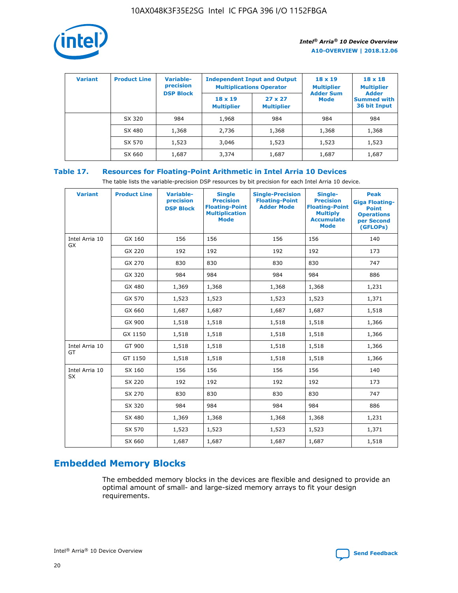

| <b>Variant</b> | <b>Product Line</b> | <b>Variable-</b><br>precision<br><b>DSP Block</b> | <b>Independent Input and Output</b><br><b>Multiplications Operator</b> |                                     | $18 \times 19$<br><b>Multiplier</b><br><b>Adder Sum</b> | $18 \times 18$<br><b>Multiplier</b><br><b>Adder</b> |  |
|----------------|---------------------|---------------------------------------------------|------------------------------------------------------------------------|-------------------------------------|---------------------------------------------------------|-----------------------------------------------------|--|
|                |                     |                                                   | $18 \times 19$<br><b>Multiplier</b>                                    | $27 \times 27$<br><b>Multiplier</b> | <b>Mode</b>                                             | <b>Summed with</b><br>36 bit Input                  |  |
|                | SX 320              | 984                                               | 1,968                                                                  | 984                                 | 984                                                     | 984                                                 |  |
|                | SX 480              | 1,368                                             | 2,736                                                                  | 1,368                               | 1,368                                                   | 1,368                                               |  |
|                | SX 570              | 1,523                                             | 3,046                                                                  | 1,523                               | 1,523                                                   | 1,523                                               |  |
|                | SX 660              | 1,687                                             | 3,374                                                                  | 1,687                               | 1,687                                                   | 1,687                                               |  |

## **Table 17. Resources for Floating-Point Arithmetic in Intel Arria 10 Devices**

The table lists the variable-precision DSP resources by bit precision for each Intel Arria 10 device.

| <b>Variant</b> | <b>Product Line</b> | <b>Variable-</b><br>precision<br><b>DSP Block</b> | <b>Single</b><br><b>Precision</b><br><b>Floating-Point</b><br><b>Multiplication</b><br><b>Mode</b> | <b>Single-Precision</b><br><b>Floating-Point</b><br><b>Adder Mode</b> | Single-<br><b>Precision</b><br><b>Floating-Point</b><br><b>Multiply</b><br><b>Accumulate</b><br><b>Mode</b> | <b>Peak</b><br><b>Giga Floating-</b><br><b>Point</b><br><b>Operations</b><br>per Second<br>(GFLOPs) |
|----------------|---------------------|---------------------------------------------------|----------------------------------------------------------------------------------------------------|-----------------------------------------------------------------------|-------------------------------------------------------------------------------------------------------------|-----------------------------------------------------------------------------------------------------|
| Intel Arria 10 | GX 160              | 156                                               | 156                                                                                                | 156                                                                   | 156                                                                                                         | 140                                                                                                 |
| GX             | GX 220              | 192                                               | 192                                                                                                | 192                                                                   | 192                                                                                                         | 173                                                                                                 |
|                | GX 270              | 830                                               | 830                                                                                                | 830                                                                   | 830                                                                                                         | 747                                                                                                 |
|                | GX 320              | 984                                               | 984                                                                                                | 984                                                                   | 984                                                                                                         | 886                                                                                                 |
|                | GX 480              | 1,369                                             | 1,368                                                                                              | 1,368                                                                 | 1,368                                                                                                       | 1,231                                                                                               |
|                | GX 570              | 1,523                                             | 1,523                                                                                              | 1,523                                                                 | 1,523                                                                                                       | 1,371                                                                                               |
|                | GX 660              | 1,687                                             | 1,687                                                                                              | 1,687                                                                 | 1,687                                                                                                       | 1,518                                                                                               |
|                | GX 900              | 1,518                                             | 1,518                                                                                              | 1,518                                                                 | 1,518                                                                                                       | 1,366                                                                                               |
|                | GX 1150             | 1,518                                             | 1,518                                                                                              | 1,518                                                                 | 1,518                                                                                                       | 1,366                                                                                               |
| Intel Arria 10 | GT 900              | 1,518                                             | 1,518                                                                                              | 1,518                                                                 | 1,518                                                                                                       | 1,366                                                                                               |
| GT             | GT 1150             | 1,518                                             | 1,518                                                                                              | 1,518                                                                 | 1,518                                                                                                       | 1,366                                                                                               |
| Intel Arria 10 | SX 160              | 156                                               | 156                                                                                                | 156                                                                   | 156                                                                                                         | 140                                                                                                 |
| SX             | SX 220              | 192                                               | 192                                                                                                | 192                                                                   | 192                                                                                                         | 173                                                                                                 |
|                | SX 270              | 830                                               | 830                                                                                                | 830                                                                   | 830                                                                                                         | 747                                                                                                 |
|                | SX 320              | 984                                               | 984                                                                                                | 984                                                                   | 984                                                                                                         | 886                                                                                                 |
|                | SX 480              | 1,369                                             | 1,368                                                                                              | 1,368                                                                 | 1,368                                                                                                       | 1,231                                                                                               |
|                | SX 570              | 1,523                                             | 1,523                                                                                              | 1,523                                                                 | 1,523                                                                                                       | 1,371                                                                                               |
|                | SX 660              | 1,687                                             | 1,687                                                                                              | 1,687                                                                 | 1,687                                                                                                       | 1,518                                                                                               |

# **Embedded Memory Blocks**

The embedded memory blocks in the devices are flexible and designed to provide an optimal amount of small- and large-sized memory arrays to fit your design requirements.

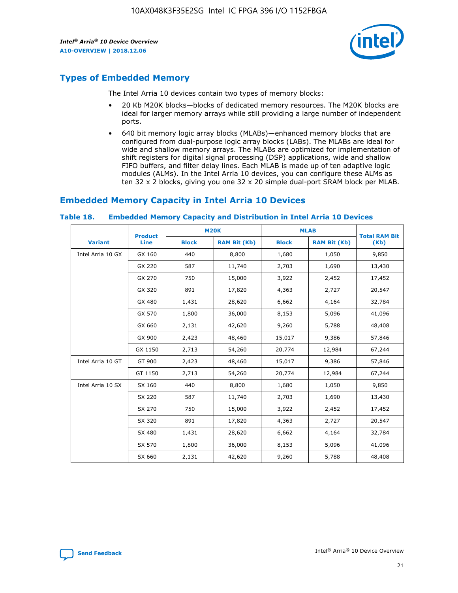

## **Types of Embedded Memory**

The Intel Arria 10 devices contain two types of memory blocks:

- 20 Kb M20K blocks—blocks of dedicated memory resources. The M20K blocks are ideal for larger memory arrays while still providing a large number of independent ports.
- 640 bit memory logic array blocks (MLABs)—enhanced memory blocks that are configured from dual-purpose logic array blocks (LABs). The MLABs are ideal for wide and shallow memory arrays. The MLABs are optimized for implementation of shift registers for digital signal processing (DSP) applications, wide and shallow FIFO buffers, and filter delay lines. Each MLAB is made up of ten adaptive logic modules (ALMs). In the Intel Arria 10 devices, you can configure these ALMs as ten 32 x 2 blocks, giving you one 32 x 20 simple dual-port SRAM block per MLAB.

## **Embedded Memory Capacity in Intel Arria 10 Devices**

|                   | <b>Product</b> | <b>M20K</b>  |                     | <b>MLAB</b>  |                     | <b>Total RAM Bit</b> |
|-------------------|----------------|--------------|---------------------|--------------|---------------------|----------------------|
| <b>Variant</b>    | <b>Line</b>    | <b>Block</b> | <b>RAM Bit (Kb)</b> | <b>Block</b> | <b>RAM Bit (Kb)</b> | (Kb)                 |
| Intel Arria 10 GX | GX 160         | 440          | 8,800               | 1,680        | 1,050               | 9,850                |
|                   | GX 220         | 587          | 11,740              | 2,703        | 1,690               | 13,430               |
|                   | GX 270         | 750          | 15,000              | 3,922        | 2,452               | 17,452               |
|                   | GX 320         | 891          | 17,820              | 4,363        | 2,727               | 20,547               |
|                   | GX 480         | 1,431        | 28,620              | 6,662        | 4,164               | 32,784               |
|                   | GX 570         | 1,800        | 36,000              | 8,153        | 5,096               | 41,096               |
|                   | GX 660         | 2,131        | 42,620              | 9,260        | 5,788               | 48,408               |
|                   | GX 900         | 2,423        | 48,460              | 15,017       | 9,386               | 57,846               |
|                   | GX 1150        | 2,713        | 54,260              | 20,774       | 12,984              | 67,244               |
| Intel Arria 10 GT | GT 900         | 2,423        | 48,460              | 15,017       | 9,386               | 57,846               |
|                   | GT 1150        | 2,713        | 54,260              | 20,774       | 12,984              | 67,244               |
| Intel Arria 10 SX | SX 160         | 440          | 8,800               | 1,680        | 1,050               | 9,850                |
|                   | SX 220         | 587          | 11,740              | 2,703        | 1,690               | 13,430               |
|                   | SX 270         | 750          | 15,000              | 3,922        | 2,452               | 17,452               |
|                   | SX 320         | 891          | 17,820              | 4,363        | 2,727               | 20,547               |
|                   | SX 480         | 1,431        | 28,620              | 6,662        | 4,164               | 32,784               |
|                   | SX 570         | 1,800        | 36,000              | 8,153        | 5,096               | 41,096               |
|                   | SX 660         | 2,131        | 42,620              | 9,260        | 5,788               | 48,408               |

#### **Table 18. Embedded Memory Capacity and Distribution in Intel Arria 10 Devices**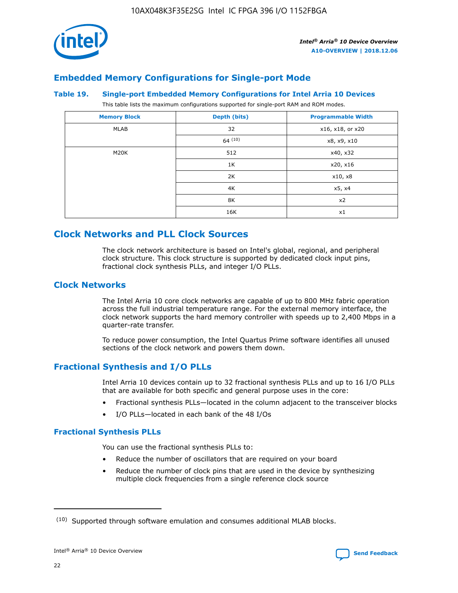

## **Embedded Memory Configurations for Single-port Mode**

#### **Table 19. Single-port Embedded Memory Configurations for Intel Arria 10 Devices**

This table lists the maximum configurations supported for single-port RAM and ROM modes.

| <b>Memory Block</b> | Depth (bits) | <b>Programmable Width</b> |
|---------------------|--------------|---------------------------|
| MLAB                | 32           | x16, x18, or x20          |
|                     | 64(10)       | x8, x9, x10               |
| M20K                | 512          | x40, x32                  |
|                     | 1K           | x20, x16                  |
|                     | 2K           | x10, x8                   |
|                     | 4K           | x5, x4                    |
|                     | 8K           | x2                        |
|                     | 16K          | x1                        |

## **Clock Networks and PLL Clock Sources**

The clock network architecture is based on Intel's global, regional, and peripheral clock structure. This clock structure is supported by dedicated clock input pins, fractional clock synthesis PLLs, and integer I/O PLLs.

#### **Clock Networks**

The Intel Arria 10 core clock networks are capable of up to 800 MHz fabric operation across the full industrial temperature range. For the external memory interface, the clock network supports the hard memory controller with speeds up to 2,400 Mbps in a quarter-rate transfer.

To reduce power consumption, the Intel Quartus Prime software identifies all unused sections of the clock network and powers them down.

## **Fractional Synthesis and I/O PLLs**

Intel Arria 10 devices contain up to 32 fractional synthesis PLLs and up to 16 I/O PLLs that are available for both specific and general purpose uses in the core:

- Fractional synthesis PLLs—located in the column adjacent to the transceiver blocks
- I/O PLLs—located in each bank of the 48 I/Os

#### **Fractional Synthesis PLLs**

You can use the fractional synthesis PLLs to:

- Reduce the number of oscillators that are required on your board
- Reduce the number of clock pins that are used in the device by synthesizing multiple clock frequencies from a single reference clock source

<sup>(10)</sup> Supported through software emulation and consumes additional MLAB blocks.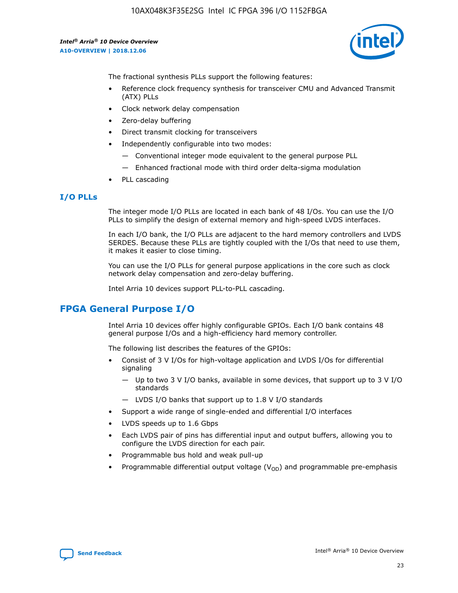

The fractional synthesis PLLs support the following features:

- Reference clock frequency synthesis for transceiver CMU and Advanced Transmit (ATX) PLLs
- Clock network delay compensation
- Zero-delay buffering
- Direct transmit clocking for transceivers
- Independently configurable into two modes:
	- Conventional integer mode equivalent to the general purpose PLL
	- Enhanced fractional mode with third order delta-sigma modulation
- PLL cascading

#### **I/O PLLs**

The integer mode I/O PLLs are located in each bank of 48 I/Os. You can use the I/O PLLs to simplify the design of external memory and high-speed LVDS interfaces.

In each I/O bank, the I/O PLLs are adjacent to the hard memory controllers and LVDS SERDES. Because these PLLs are tightly coupled with the I/Os that need to use them, it makes it easier to close timing.

You can use the I/O PLLs for general purpose applications in the core such as clock network delay compensation and zero-delay buffering.

Intel Arria 10 devices support PLL-to-PLL cascading.

## **FPGA General Purpose I/O**

Intel Arria 10 devices offer highly configurable GPIOs. Each I/O bank contains 48 general purpose I/Os and a high-efficiency hard memory controller.

The following list describes the features of the GPIOs:

- Consist of 3 V I/Os for high-voltage application and LVDS I/Os for differential signaling
	- Up to two 3 V I/O banks, available in some devices, that support up to 3 V I/O standards
	- LVDS I/O banks that support up to 1.8 V I/O standards
- Support a wide range of single-ended and differential I/O interfaces
- LVDS speeds up to 1.6 Gbps
- Each LVDS pair of pins has differential input and output buffers, allowing you to configure the LVDS direction for each pair.
- Programmable bus hold and weak pull-up
- Programmable differential output voltage  $(V_{OD})$  and programmable pre-emphasis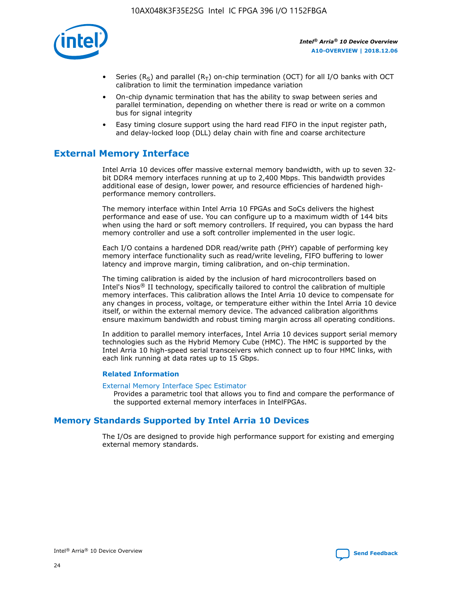

- Series (R<sub>S</sub>) and parallel (R<sub>T</sub>) on-chip termination (OCT) for all I/O banks with OCT calibration to limit the termination impedance variation
- On-chip dynamic termination that has the ability to swap between series and parallel termination, depending on whether there is read or write on a common bus for signal integrity
- Easy timing closure support using the hard read FIFO in the input register path, and delay-locked loop (DLL) delay chain with fine and coarse architecture

## **External Memory Interface**

Intel Arria 10 devices offer massive external memory bandwidth, with up to seven 32 bit DDR4 memory interfaces running at up to 2,400 Mbps. This bandwidth provides additional ease of design, lower power, and resource efficiencies of hardened highperformance memory controllers.

The memory interface within Intel Arria 10 FPGAs and SoCs delivers the highest performance and ease of use. You can configure up to a maximum width of 144 bits when using the hard or soft memory controllers. If required, you can bypass the hard memory controller and use a soft controller implemented in the user logic.

Each I/O contains a hardened DDR read/write path (PHY) capable of performing key memory interface functionality such as read/write leveling, FIFO buffering to lower latency and improve margin, timing calibration, and on-chip termination.

The timing calibration is aided by the inclusion of hard microcontrollers based on Intel's Nios® II technology, specifically tailored to control the calibration of multiple memory interfaces. This calibration allows the Intel Arria 10 device to compensate for any changes in process, voltage, or temperature either within the Intel Arria 10 device itself, or within the external memory device. The advanced calibration algorithms ensure maximum bandwidth and robust timing margin across all operating conditions.

In addition to parallel memory interfaces, Intel Arria 10 devices support serial memory technologies such as the Hybrid Memory Cube (HMC). The HMC is supported by the Intel Arria 10 high-speed serial transceivers which connect up to four HMC links, with each link running at data rates up to 15 Gbps.

#### **Related Information**

#### [External Memory Interface Spec Estimator](http://www.altera.com/technology/memory/estimator/mem-emif-index.html)

Provides a parametric tool that allows you to find and compare the performance of the supported external memory interfaces in IntelFPGAs.

## **Memory Standards Supported by Intel Arria 10 Devices**

The I/Os are designed to provide high performance support for existing and emerging external memory standards.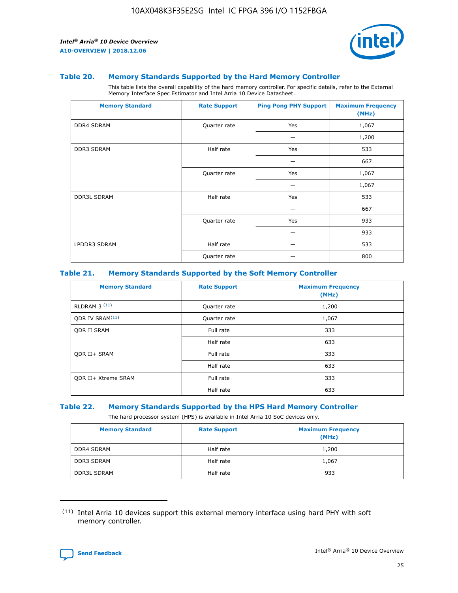

#### **Table 20. Memory Standards Supported by the Hard Memory Controller**

This table lists the overall capability of the hard memory controller. For specific details, refer to the External Memory Interface Spec Estimator and Intel Arria 10 Device Datasheet.

| <b>Memory Standard</b> | <b>Rate Support</b> | <b>Ping Pong PHY Support</b> | <b>Maximum Frequency</b><br>(MHz) |
|------------------------|---------------------|------------------------------|-----------------------------------|
| <b>DDR4 SDRAM</b>      | Quarter rate        | Yes                          | 1,067                             |
|                        |                     |                              | 1,200                             |
| DDR3 SDRAM             | Half rate           | Yes                          | 533                               |
|                        |                     |                              | 667                               |
|                        | Quarter rate        | Yes                          | 1,067                             |
|                        |                     |                              | 1,067                             |
| <b>DDR3L SDRAM</b>     | Half rate           | Yes                          | 533                               |
|                        |                     |                              | 667                               |
|                        | Quarter rate        | Yes                          | 933                               |
|                        |                     |                              | 933                               |
| LPDDR3 SDRAM           | Half rate           |                              | 533                               |
|                        | Quarter rate        |                              | 800                               |

#### **Table 21. Memory Standards Supported by the Soft Memory Controller**

| <b>Memory Standard</b>      | <b>Rate Support</b> | <b>Maximum Frequency</b><br>(MHz) |
|-----------------------------|---------------------|-----------------------------------|
| <b>RLDRAM 3 (11)</b>        | Quarter rate        | 1,200                             |
| ODR IV SRAM <sup>(11)</sup> | Quarter rate        | 1,067                             |
| <b>ODR II SRAM</b>          | Full rate           | 333                               |
|                             | Half rate           | 633                               |
| <b>ODR II+ SRAM</b>         | Full rate           | 333                               |
|                             | Half rate           | 633                               |
| <b>ODR II+ Xtreme SRAM</b>  | Full rate           | 333                               |
|                             | Half rate           | 633                               |

#### **Table 22. Memory Standards Supported by the HPS Hard Memory Controller**

The hard processor system (HPS) is available in Intel Arria 10 SoC devices only.

| <b>Memory Standard</b> | <b>Rate Support</b> | <b>Maximum Frequency</b><br>(MHz) |
|------------------------|---------------------|-----------------------------------|
| <b>DDR4 SDRAM</b>      | Half rate           | 1,200                             |
| <b>DDR3 SDRAM</b>      | Half rate           | 1,067                             |
| <b>DDR3L SDRAM</b>     | Half rate           | 933                               |

<sup>(11)</sup> Intel Arria 10 devices support this external memory interface using hard PHY with soft memory controller.

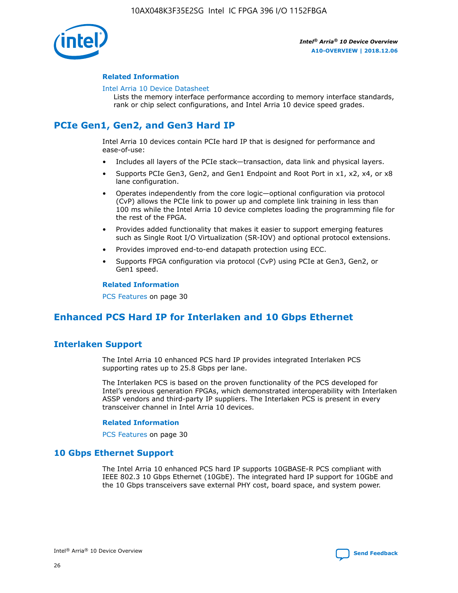

#### **Related Information**

#### [Intel Arria 10 Device Datasheet](https://www.intel.com/content/www/us/en/programmable/documentation/mcn1413182292568.html#mcn1413182153340)

Lists the memory interface performance according to memory interface standards, rank or chip select configurations, and Intel Arria 10 device speed grades.

## **PCIe Gen1, Gen2, and Gen3 Hard IP**

Intel Arria 10 devices contain PCIe hard IP that is designed for performance and ease-of-use:

- Includes all layers of the PCIe stack—transaction, data link and physical layers.
- Supports PCIe Gen3, Gen2, and Gen1 Endpoint and Root Port in x1, x2, x4, or x8 lane configuration.
- Operates independently from the core logic—optional configuration via protocol (CvP) allows the PCIe link to power up and complete link training in less than 100 ms while the Intel Arria 10 device completes loading the programming file for the rest of the FPGA.
- Provides added functionality that makes it easier to support emerging features such as Single Root I/O Virtualization (SR-IOV) and optional protocol extensions.
- Provides improved end-to-end datapath protection using ECC.
- Supports FPGA configuration via protocol (CvP) using PCIe at Gen3, Gen2, or Gen1 speed.

#### **Related Information**

PCS Features on page 30

## **Enhanced PCS Hard IP for Interlaken and 10 Gbps Ethernet**

## **Interlaken Support**

The Intel Arria 10 enhanced PCS hard IP provides integrated Interlaken PCS supporting rates up to 25.8 Gbps per lane.

The Interlaken PCS is based on the proven functionality of the PCS developed for Intel's previous generation FPGAs, which demonstrated interoperability with Interlaken ASSP vendors and third-party IP suppliers. The Interlaken PCS is present in every transceiver channel in Intel Arria 10 devices.

#### **Related Information**

PCS Features on page 30

#### **10 Gbps Ethernet Support**

The Intel Arria 10 enhanced PCS hard IP supports 10GBASE-R PCS compliant with IEEE 802.3 10 Gbps Ethernet (10GbE). The integrated hard IP support for 10GbE and the 10 Gbps transceivers save external PHY cost, board space, and system power.

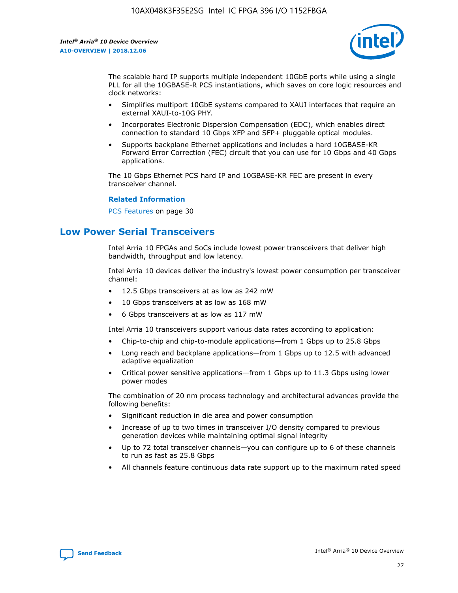

The scalable hard IP supports multiple independent 10GbE ports while using a single PLL for all the 10GBASE-R PCS instantiations, which saves on core logic resources and clock networks:

- Simplifies multiport 10GbE systems compared to XAUI interfaces that require an external XAUI-to-10G PHY.
- Incorporates Electronic Dispersion Compensation (EDC), which enables direct connection to standard 10 Gbps XFP and SFP+ pluggable optical modules.
- Supports backplane Ethernet applications and includes a hard 10GBASE-KR Forward Error Correction (FEC) circuit that you can use for 10 Gbps and 40 Gbps applications.

The 10 Gbps Ethernet PCS hard IP and 10GBASE-KR FEC are present in every transceiver channel.

#### **Related Information**

PCS Features on page 30

## **Low Power Serial Transceivers**

Intel Arria 10 FPGAs and SoCs include lowest power transceivers that deliver high bandwidth, throughput and low latency.

Intel Arria 10 devices deliver the industry's lowest power consumption per transceiver channel:

- 12.5 Gbps transceivers at as low as 242 mW
- 10 Gbps transceivers at as low as 168 mW
- 6 Gbps transceivers at as low as 117 mW

Intel Arria 10 transceivers support various data rates according to application:

- Chip-to-chip and chip-to-module applications—from 1 Gbps up to 25.8 Gbps
- Long reach and backplane applications—from 1 Gbps up to 12.5 with advanced adaptive equalization
- Critical power sensitive applications—from 1 Gbps up to 11.3 Gbps using lower power modes

The combination of 20 nm process technology and architectural advances provide the following benefits:

- Significant reduction in die area and power consumption
- Increase of up to two times in transceiver I/O density compared to previous generation devices while maintaining optimal signal integrity
- Up to 72 total transceiver channels—you can configure up to 6 of these channels to run as fast as 25.8 Gbps
- All channels feature continuous data rate support up to the maximum rated speed

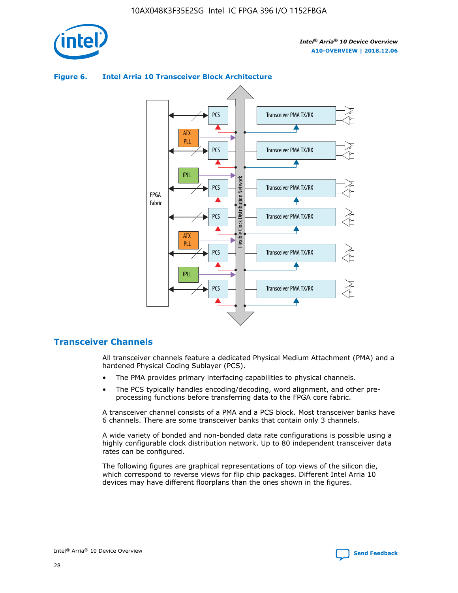

#### **Figure 6. Intel Arria 10 Transceiver Block Architecture**



## **Transceiver Channels**

All transceiver channels feature a dedicated Physical Medium Attachment (PMA) and a hardened Physical Coding Sublayer (PCS).

- The PMA provides primary interfacing capabilities to physical channels.
- The PCS typically handles encoding/decoding, word alignment, and other preprocessing functions before transferring data to the FPGA core fabric.

A transceiver channel consists of a PMA and a PCS block. Most transceiver banks have 6 channels. There are some transceiver banks that contain only 3 channels.

A wide variety of bonded and non-bonded data rate configurations is possible using a highly configurable clock distribution network. Up to 80 independent transceiver data rates can be configured.

The following figures are graphical representations of top views of the silicon die, which correspond to reverse views for flip chip packages. Different Intel Arria 10 devices may have different floorplans than the ones shown in the figures.

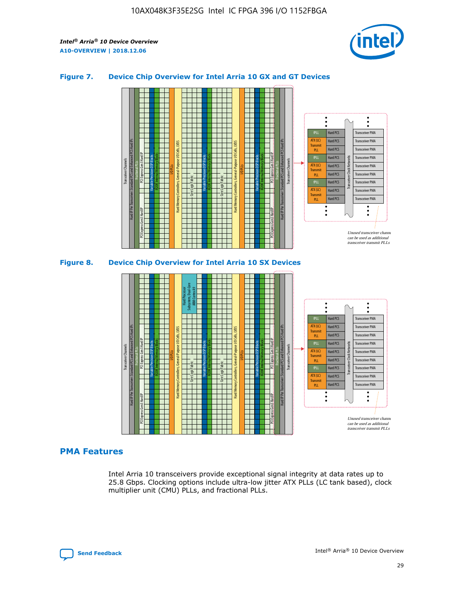

#### **Figure 7. Device Chip Overview for Intel Arria 10 GX and GT Devices**





#### **PMA Features**

Intel Arria 10 transceivers provide exceptional signal integrity at data rates up to 25.8 Gbps. Clocking options include ultra-low jitter ATX PLLs (LC tank based), clock multiplier unit (CMU) PLLs, and fractional PLLs.

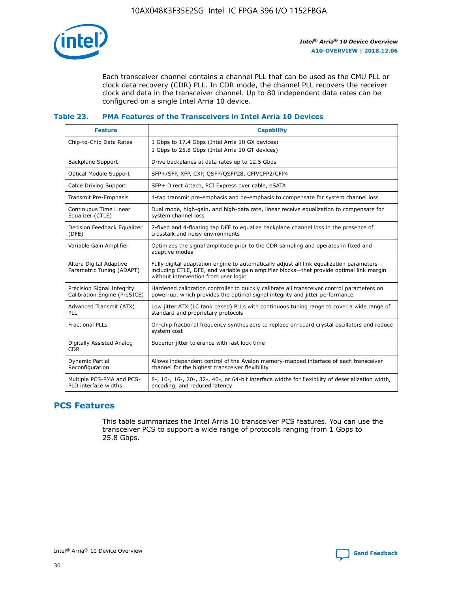

Each transceiver channel contains a channel PLL that can be used as the CMU PLL or clock data recovery (CDR) PLL. In CDR mode, the channel PLL recovers the receiver clock and data in the transceiver channel. Up to 80 independent data rates can be configured on a single Intel Arria 10 device.

#### **Table 23. PMA Features of the Transceivers in Intel Arria 10 Devices**

| <b>Feature</b>                                             | <b>Capability</b>                                                                                                                                                                                                             |
|------------------------------------------------------------|-------------------------------------------------------------------------------------------------------------------------------------------------------------------------------------------------------------------------------|
| Chip-to-Chip Data Rates                                    | 1 Gbps to 17.4 Gbps (Intel Arria 10 GX devices)<br>1 Gbps to 25.8 Gbps (Intel Arria 10 GT devices)                                                                                                                            |
| <b>Backplane Support</b>                                   | Drive backplanes at data rates up to 12.5 Gbps                                                                                                                                                                                |
| <b>Optical Module Support</b>                              | SFP+/SFP, XFP, CXP, QSFP/QSFP28, CFP/CFP2/CFP4                                                                                                                                                                                |
| Cable Driving Support                                      | SFP+ Direct Attach, PCI Express over cable, eSATA                                                                                                                                                                             |
| Transmit Pre-Emphasis                                      | 4-tap transmit pre-emphasis and de-emphasis to compensate for system channel loss                                                                                                                                             |
| Continuous Time Linear<br>Equalizer (CTLE)                 | Dual mode, high-gain, and high-data rate, linear receive equalization to compensate for<br>system channel loss                                                                                                                |
| Decision Feedback Equalizer<br>(DFE)                       | 7-fixed and 4-floating tap DFE to equalize backplane channel loss in the presence of<br>crosstalk and noisy environments                                                                                                      |
| Variable Gain Amplifier                                    | Optimizes the signal amplitude prior to the CDR sampling and operates in fixed and<br>adaptive modes                                                                                                                          |
| Altera Digital Adaptive<br>Parametric Tuning (ADAPT)       | Fully digital adaptation engine to automatically adjust all link equalization parameters-<br>including CTLE, DFE, and variable gain amplifier blocks—that provide optimal link margin<br>without intervention from user logic |
| Precision Signal Integrity<br>Calibration Engine (PreSICE) | Hardened calibration controller to quickly calibrate all transceiver control parameters on<br>power-up, which provides the optimal signal integrity and jitter performance                                                    |
| Advanced Transmit (ATX)<br>PLL                             | Low jitter ATX (LC tank based) PLLs with continuous tuning range to cover a wide range of<br>standard and proprietary protocols                                                                                               |
| <b>Fractional PLLs</b>                                     | On-chip fractional frequency synthesizers to replace on-board crystal oscillators and reduce<br>system cost                                                                                                                   |
| Digitally Assisted Analog<br><b>CDR</b>                    | Superior jitter tolerance with fast lock time                                                                                                                                                                                 |
| Dynamic Partial<br>Reconfiguration                         | Allows independent control of the Avalon memory-mapped interface of each transceiver<br>channel for the highest transceiver flexibility                                                                                       |
| Multiple PCS-PMA and PCS-<br>PLD interface widths          | 8-, 10-, 16-, 20-, 32-, 40-, or 64-bit interface widths for flexibility of deserialization width,<br>encoding, and reduced latency                                                                                            |

## **PCS Features**

This table summarizes the Intel Arria 10 transceiver PCS features. You can use the transceiver PCS to support a wide range of protocols ranging from 1 Gbps to 25.8 Gbps.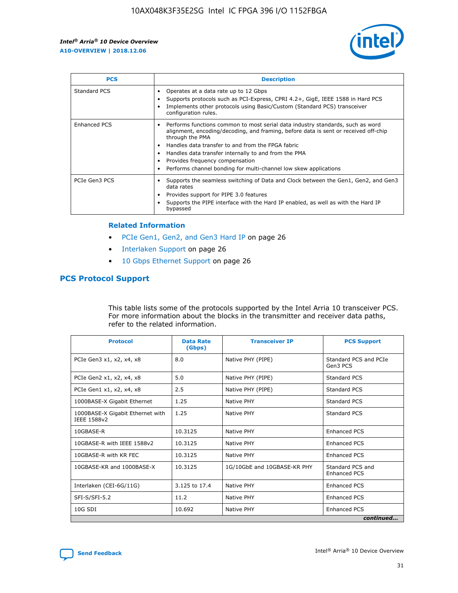

| <b>PCS</b>          | <b>Description</b>                                                                                                                                                                                                                                                                                                                                                                                             |
|---------------------|----------------------------------------------------------------------------------------------------------------------------------------------------------------------------------------------------------------------------------------------------------------------------------------------------------------------------------------------------------------------------------------------------------------|
| Standard PCS        | Operates at a data rate up to 12 Gbps<br>Supports protocols such as PCI-Express, CPRI 4.2+, GigE, IEEE 1588 in Hard PCS<br>Implements other protocols using Basic/Custom (Standard PCS) transceiver<br>configuration rules.                                                                                                                                                                                    |
| <b>Enhanced PCS</b> | Performs functions common to most serial data industry standards, such as word<br>alignment, encoding/decoding, and framing, before data is sent or received off-chip<br>through the PMA<br>• Handles data transfer to and from the FPGA fabric<br>Handles data transfer internally to and from the PMA<br>Provides frequency compensation<br>Performs channel bonding for multi-channel low skew applications |
| PCIe Gen3 PCS       | Supports the seamless switching of Data and Clock between the Gen1, Gen2, and Gen3<br>data rates<br>Provides support for PIPE 3.0 features<br>Supports the PIPE interface with the Hard IP enabled, as well as with the Hard IP<br>bypassed                                                                                                                                                                    |

#### **Related Information**

- PCIe Gen1, Gen2, and Gen3 Hard IP on page 26
- Interlaken Support on page 26
- 10 Gbps Ethernet Support on page 26

## **PCS Protocol Support**

This table lists some of the protocols supported by the Intel Arria 10 transceiver PCS. For more information about the blocks in the transmitter and receiver data paths, refer to the related information.

| <b>Protocol</b>                                 | <b>Data Rate</b><br>(Gbps) | <b>Transceiver IP</b>       | <b>PCS Support</b>                      |
|-------------------------------------------------|----------------------------|-----------------------------|-----------------------------------------|
| PCIe Gen3 x1, x2, x4, x8                        | 8.0                        | Native PHY (PIPE)           | Standard PCS and PCIe<br>Gen3 PCS       |
| PCIe Gen2 x1, x2, x4, x8                        | 5.0                        | Native PHY (PIPE)           | <b>Standard PCS</b>                     |
| PCIe Gen1 x1, x2, x4, x8                        | 2.5                        | Native PHY (PIPE)           | Standard PCS                            |
| 1000BASE-X Gigabit Ethernet                     | 1.25                       | Native PHY                  | <b>Standard PCS</b>                     |
| 1000BASE-X Gigabit Ethernet with<br>IEEE 1588v2 | 1.25                       | Native PHY                  | Standard PCS                            |
| 10GBASE-R                                       | 10.3125                    | Native PHY                  | <b>Enhanced PCS</b>                     |
| 10GBASE-R with IEEE 1588v2                      | 10.3125                    | Native PHY                  | <b>Enhanced PCS</b>                     |
| 10GBASE-R with KR FEC                           | 10.3125                    | Native PHY                  | <b>Enhanced PCS</b>                     |
| 10GBASE-KR and 1000BASE-X                       | 10.3125                    | 1G/10GbE and 10GBASE-KR PHY | Standard PCS and<br><b>Enhanced PCS</b> |
| Interlaken (CEI-6G/11G)                         | 3.125 to 17.4              | Native PHY                  | <b>Enhanced PCS</b>                     |
| SFI-S/SFI-5.2                                   | 11.2                       | Native PHY                  | <b>Enhanced PCS</b>                     |
| $10G$ SDI                                       | 10.692                     | Native PHY                  | <b>Enhanced PCS</b>                     |
|                                                 |                            |                             | continued                               |

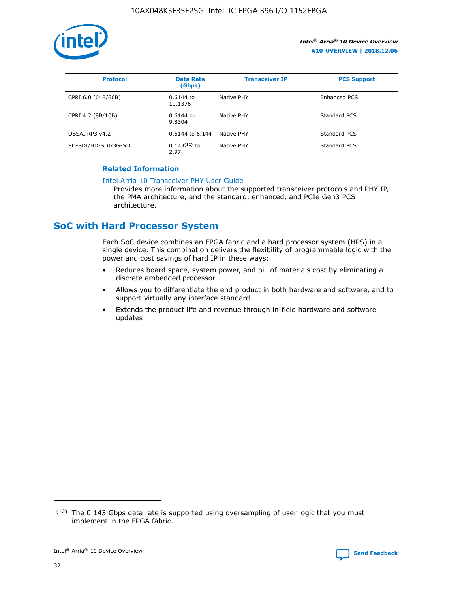

| <b>Protocol</b>      | <b>Data Rate</b><br>(Gbps) | <b>Transceiver IP</b> | <b>PCS Support</b> |
|----------------------|----------------------------|-----------------------|--------------------|
| CPRI 6.0 (64B/66B)   | 0.6144 to<br>10.1376       | Native PHY            | Enhanced PCS       |
| CPRI 4.2 (8B/10B)    | 0.6144 to<br>9.8304        | Native PHY            | Standard PCS       |
| OBSAI RP3 v4.2       | 0.6144 to 6.144            | Native PHY            | Standard PCS       |
| SD-SDI/HD-SDI/3G-SDI | $0.143(12)$ to<br>2.97     | Native PHY            | Standard PCS       |

#### **Related Information**

#### [Intel Arria 10 Transceiver PHY User Guide](https://www.intel.com/content/www/us/en/programmable/documentation/nik1398707230472.html#nik1398707091164)

Provides more information about the supported transceiver protocols and PHY IP, the PMA architecture, and the standard, enhanced, and PCIe Gen3 PCS architecture.

## **SoC with Hard Processor System**

Each SoC device combines an FPGA fabric and a hard processor system (HPS) in a single device. This combination delivers the flexibility of programmable logic with the power and cost savings of hard IP in these ways:

- Reduces board space, system power, and bill of materials cost by eliminating a discrete embedded processor
- Allows you to differentiate the end product in both hardware and software, and to support virtually any interface standard
- Extends the product life and revenue through in-field hardware and software updates

 $(12)$  The 0.143 Gbps data rate is supported using oversampling of user logic that you must implement in the FPGA fabric.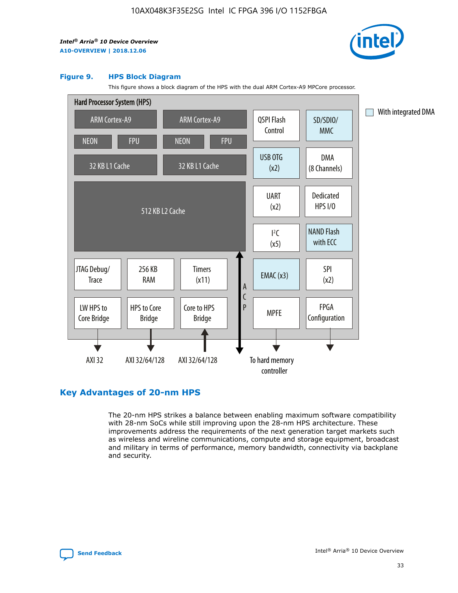

#### **Figure 9. HPS Block Diagram**

This figure shows a block diagram of the HPS with the dual ARM Cortex-A9 MPCore processor.



## **Key Advantages of 20-nm HPS**

The 20-nm HPS strikes a balance between enabling maximum software compatibility with 28-nm SoCs while still improving upon the 28-nm HPS architecture. These improvements address the requirements of the next generation target markets such as wireless and wireline communications, compute and storage equipment, broadcast and military in terms of performance, memory bandwidth, connectivity via backplane and security.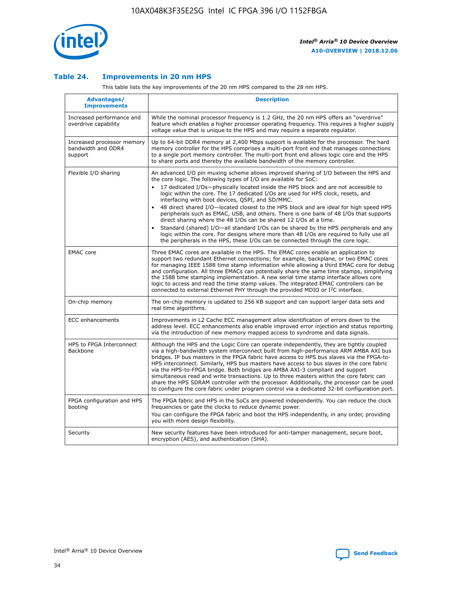

#### **Table 24. Improvements in 20 nm HPS**

This table lists the key improvements of the 20 nm HPS compared to the 28 nm HPS.

| Advantages/<br><b>Improvements</b>                          | <b>Description</b>                                                                                                                                                                                                                                                                                                                                                                                                                                                                                                                                                                                                                                                                                                                                                                                                                                                                                                                                |
|-------------------------------------------------------------|---------------------------------------------------------------------------------------------------------------------------------------------------------------------------------------------------------------------------------------------------------------------------------------------------------------------------------------------------------------------------------------------------------------------------------------------------------------------------------------------------------------------------------------------------------------------------------------------------------------------------------------------------------------------------------------------------------------------------------------------------------------------------------------------------------------------------------------------------------------------------------------------------------------------------------------------------|
| Increased performance and<br>overdrive capability           | While the nominal processor frequency is 1.2 GHz, the 20 nm HPS offers an "overdrive"<br>feature which enables a higher processor operating frequency. This requires a higher supply<br>voltage value that is unique to the HPS and may require a separate regulator.                                                                                                                                                                                                                                                                                                                                                                                                                                                                                                                                                                                                                                                                             |
| Increased processor memory<br>bandwidth and DDR4<br>support | Up to 64-bit DDR4 memory at 2,400 Mbps support is available for the processor. The hard<br>memory controller for the HPS comprises a multi-port front end that manages connections<br>to a single port memory controller. The multi-port front end allows logic core and the HPS<br>to share ports and thereby the available bandwidth of the memory controller.                                                                                                                                                                                                                                                                                                                                                                                                                                                                                                                                                                                  |
| Flexible I/O sharing                                        | An advanced I/O pin muxing scheme allows improved sharing of I/O between the HPS and<br>the core logic. The following types of I/O are available for SoC:<br>$\bullet$<br>17 dedicated I/Os-physically located inside the HPS block and are not accessible to<br>logic within the core. The 17 dedicated I/Os are used for HPS clock, resets, and<br>interfacing with boot devices, QSPI, and SD/MMC.<br>48 direct shared I/O-located closest to the HPS block and are ideal for high speed HPS<br>$\bullet$<br>peripherals such as EMAC, USB, and others. There is one bank of 48 I/Os that supports<br>direct sharing where the 48 I/Os can be shared 12 I/Os at a time.<br>Standard (shared) I/O-all standard I/Os can be shared by the HPS peripherals and any<br>logic within the core. For designs where more than 48 I/Os are required to fully use all<br>the peripherals in the HPS, these I/Os can be connected through the core logic. |
| <b>EMAC</b> core                                            | Three EMAC cores are available in the HPS. The EMAC cores enable an application to<br>support two redundant Ethernet connections; for example, backplane, or two EMAC cores<br>for managing IEEE 1588 time stamp information while allowing a third EMAC core for debug<br>and configuration. All three EMACs can potentially share the same time stamps, simplifying<br>the 1588 time stamping implementation. A new serial time stamp interface allows core<br>logic to access and read the time stamp values. The integrated EMAC controllers can be<br>connected to external Ethernet PHY through the provided MDIO or I <sup>2</sup> C interface.                                                                                                                                                                                                                                                                                            |
| On-chip memory                                              | The on-chip memory is updated to 256 KB support and can support larger data sets and<br>real time algorithms.                                                                                                                                                                                                                                                                                                                                                                                                                                                                                                                                                                                                                                                                                                                                                                                                                                     |
| <b>ECC</b> enhancements                                     | Improvements in L2 Cache ECC management allow identification of errors down to the<br>address level. ECC enhancements also enable improved error injection and status reporting<br>via the introduction of new memory mapped access to syndrome and data signals.                                                                                                                                                                                                                                                                                                                                                                                                                                                                                                                                                                                                                                                                                 |
| HPS to FPGA Interconnect<br>Backbone                        | Although the HPS and the Logic Core can operate independently, they are tightly coupled<br>via a high-bandwidth system interconnect built from high-performance ARM AMBA AXI bus<br>bridges. IP bus masters in the FPGA fabric have access to HPS bus slaves via the FPGA-to-<br>HPS interconnect. Similarly, HPS bus masters have access to bus slaves in the core fabric<br>via the HPS-to-FPGA bridge. Both bridges are AMBA AXI-3 compliant and support<br>simultaneous read and write transactions. Up to three masters within the core fabric can<br>share the HPS SDRAM controller with the processor. Additionally, the processor can be used<br>to configure the core fabric under program control via a dedicated 32-bit configuration port.                                                                                                                                                                                            |
| FPGA configuration and HPS<br>booting                       | The FPGA fabric and HPS in the SoCs are powered independently. You can reduce the clock<br>frequencies or gate the clocks to reduce dynamic power.<br>You can configure the FPGA fabric and boot the HPS independently, in any order, providing<br>you with more design flexibility.                                                                                                                                                                                                                                                                                                                                                                                                                                                                                                                                                                                                                                                              |
| Security                                                    | New security features have been introduced for anti-tamper management, secure boot,<br>encryption (AES), and authentication (SHA).                                                                                                                                                                                                                                                                                                                                                                                                                                                                                                                                                                                                                                                                                                                                                                                                                |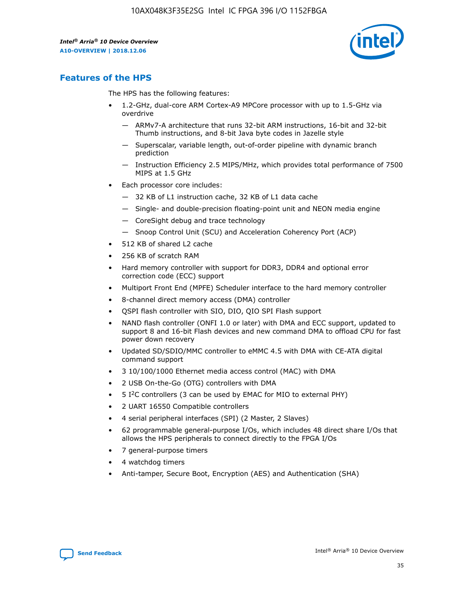

## **Features of the HPS**

The HPS has the following features:

- 1.2-GHz, dual-core ARM Cortex-A9 MPCore processor with up to 1.5-GHz via overdrive
	- ARMv7-A architecture that runs 32-bit ARM instructions, 16-bit and 32-bit Thumb instructions, and 8-bit Java byte codes in Jazelle style
	- Superscalar, variable length, out-of-order pipeline with dynamic branch prediction
	- Instruction Efficiency 2.5 MIPS/MHz, which provides total performance of 7500 MIPS at 1.5 GHz
- Each processor core includes:
	- 32 KB of L1 instruction cache, 32 KB of L1 data cache
	- Single- and double-precision floating-point unit and NEON media engine
	- CoreSight debug and trace technology
	- Snoop Control Unit (SCU) and Acceleration Coherency Port (ACP)
- 512 KB of shared L2 cache
- 256 KB of scratch RAM
- Hard memory controller with support for DDR3, DDR4 and optional error correction code (ECC) support
- Multiport Front End (MPFE) Scheduler interface to the hard memory controller
- 8-channel direct memory access (DMA) controller
- QSPI flash controller with SIO, DIO, QIO SPI Flash support
- NAND flash controller (ONFI 1.0 or later) with DMA and ECC support, updated to support 8 and 16-bit Flash devices and new command DMA to offload CPU for fast power down recovery
- Updated SD/SDIO/MMC controller to eMMC 4.5 with DMA with CE-ATA digital command support
- 3 10/100/1000 Ethernet media access control (MAC) with DMA
- 2 USB On-the-Go (OTG) controllers with DMA
- $\bullet$  5 I<sup>2</sup>C controllers (3 can be used by EMAC for MIO to external PHY)
- 2 UART 16550 Compatible controllers
- 4 serial peripheral interfaces (SPI) (2 Master, 2 Slaves)
- 62 programmable general-purpose I/Os, which includes 48 direct share I/Os that allows the HPS peripherals to connect directly to the FPGA I/Os
- 7 general-purpose timers
- 4 watchdog timers
- Anti-tamper, Secure Boot, Encryption (AES) and Authentication (SHA)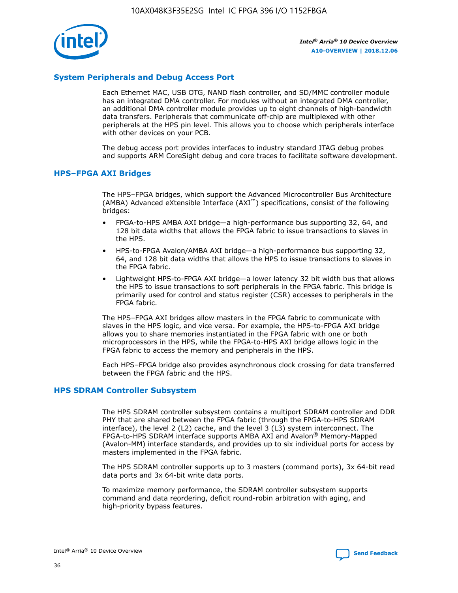

#### **System Peripherals and Debug Access Port**

Each Ethernet MAC, USB OTG, NAND flash controller, and SD/MMC controller module has an integrated DMA controller. For modules without an integrated DMA controller, an additional DMA controller module provides up to eight channels of high-bandwidth data transfers. Peripherals that communicate off-chip are multiplexed with other peripherals at the HPS pin level. This allows you to choose which peripherals interface with other devices on your PCB.

The debug access port provides interfaces to industry standard JTAG debug probes and supports ARM CoreSight debug and core traces to facilitate software development.

#### **HPS–FPGA AXI Bridges**

The HPS–FPGA bridges, which support the Advanced Microcontroller Bus Architecture (AMBA) Advanced eXtensible Interface (AXI™) specifications, consist of the following bridges:

- FPGA-to-HPS AMBA AXI bridge—a high-performance bus supporting 32, 64, and 128 bit data widths that allows the FPGA fabric to issue transactions to slaves in the HPS.
- HPS-to-FPGA Avalon/AMBA AXI bridge—a high-performance bus supporting 32, 64, and 128 bit data widths that allows the HPS to issue transactions to slaves in the FPGA fabric.
- Lightweight HPS-to-FPGA AXI bridge—a lower latency 32 bit width bus that allows the HPS to issue transactions to soft peripherals in the FPGA fabric. This bridge is primarily used for control and status register (CSR) accesses to peripherals in the FPGA fabric.

The HPS–FPGA AXI bridges allow masters in the FPGA fabric to communicate with slaves in the HPS logic, and vice versa. For example, the HPS-to-FPGA AXI bridge allows you to share memories instantiated in the FPGA fabric with one or both microprocessors in the HPS, while the FPGA-to-HPS AXI bridge allows logic in the FPGA fabric to access the memory and peripherals in the HPS.

Each HPS–FPGA bridge also provides asynchronous clock crossing for data transferred between the FPGA fabric and the HPS.

#### **HPS SDRAM Controller Subsystem**

The HPS SDRAM controller subsystem contains a multiport SDRAM controller and DDR PHY that are shared between the FPGA fabric (through the FPGA-to-HPS SDRAM interface), the level 2 (L2) cache, and the level 3 (L3) system interconnect. The FPGA-to-HPS SDRAM interface supports AMBA AXI and Avalon® Memory-Mapped (Avalon-MM) interface standards, and provides up to six individual ports for access by masters implemented in the FPGA fabric.

The HPS SDRAM controller supports up to 3 masters (command ports), 3x 64-bit read data ports and 3x 64-bit write data ports.

To maximize memory performance, the SDRAM controller subsystem supports command and data reordering, deficit round-robin arbitration with aging, and high-priority bypass features.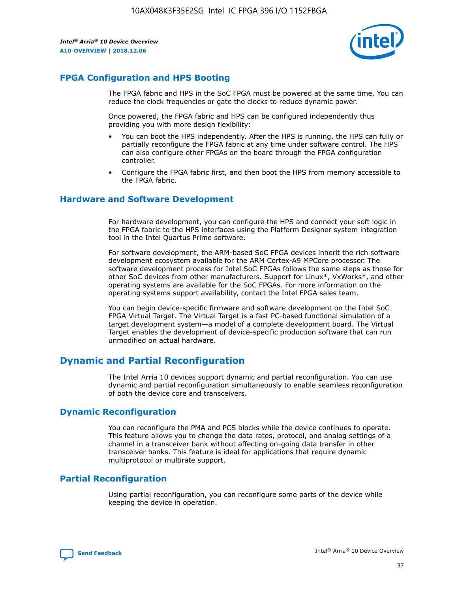

## **FPGA Configuration and HPS Booting**

The FPGA fabric and HPS in the SoC FPGA must be powered at the same time. You can reduce the clock frequencies or gate the clocks to reduce dynamic power.

Once powered, the FPGA fabric and HPS can be configured independently thus providing you with more design flexibility:

- You can boot the HPS independently. After the HPS is running, the HPS can fully or partially reconfigure the FPGA fabric at any time under software control. The HPS can also configure other FPGAs on the board through the FPGA configuration controller.
- Configure the FPGA fabric first, and then boot the HPS from memory accessible to the FPGA fabric.

#### **Hardware and Software Development**

For hardware development, you can configure the HPS and connect your soft logic in the FPGA fabric to the HPS interfaces using the Platform Designer system integration tool in the Intel Quartus Prime software.

For software development, the ARM-based SoC FPGA devices inherit the rich software development ecosystem available for the ARM Cortex-A9 MPCore processor. The software development process for Intel SoC FPGAs follows the same steps as those for other SoC devices from other manufacturers. Support for Linux\*, VxWorks\*, and other operating systems are available for the SoC FPGAs. For more information on the operating systems support availability, contact the Intel FPGA sales team.

You can begin device-specific firmware and software development on the Intel SoC FPGA Virtual Target. The Virtual Target is a fast PC-based functional simulation of a target development system—a model of a complete development board. The Virtual Target enables the development of device-specific production software that can run unmodified on actual hardware.

## **Dynamic and Partial Reconfiguration**

The Intel Arria 10 devices support dynamic and partial reconfiguration. You can use dynamic and partial reconfiguration simultaneously to enable seamless reconfiguration of both the device core and transceivers.

## **Dynamic Reconfiguration**

You can reconfigure the PMA and PCS blocks while the device continues to operate. This feature allows you to change the data rates, protocol, and analog settings of a channel in a transceiver bank without affecting on-going data transfer in other transceiver banks. This feature is ideal for applications that require dynamic multiprotocol or multirate support.

## **Partial Reconfiguration**

Using partial reconfiguration, you can reconfigure some parts of the device while keeping the device in operation.

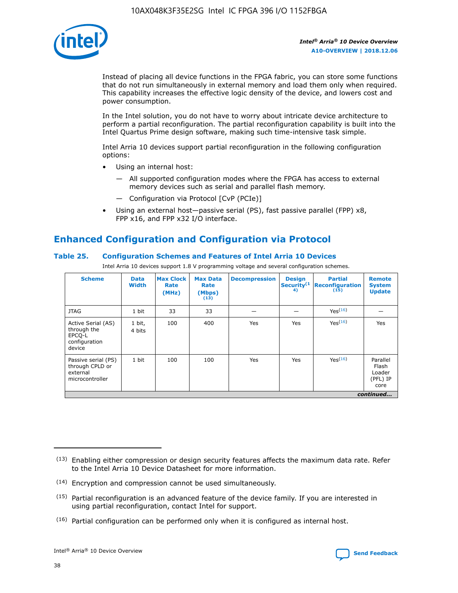

Instead of placing all device functions in the FPGA fabric, you can store some functions that do not run simultaneously in external memory and load them only when required. This capability increases the effective logic density of the device, and lowers cost and power consumption.

In the Intel solution, you do not have to worry about intricate device architecture to perform a partial reconfiguration. The partial reconfiguration capability is built into the Intel Quartus Prime design software, making such time-intensive task simple.

Intel Arria 10 devices support partial reconfiguration in the following configuration options:

- Using an internal host:
	- All supported configuration modes where the FPGA has access to external memory devices such as serial and parallel flash memory.
	- Configuration via Protocol [CvP (PCIe)]
- Using an external host—passive serial (PS), fast passive parallel (FPP) x8, FPP x16, and FPP x32 I/O interface.

## **Enhanced Configuration and Configuration via Protocol**

#### **Table 25. Configuration Schemes and Features of Intel Arria 10 Devices**

Intel Arria 10 devices support 1.8 V programming voltage and several configuration schemes.

| <b>Scheme</b>                                                          | <b>Data</b><br><b>Width</b> | <b>Max Clock</b><br>Rate<br>(MHz) | <b>Max Data</b><br>Rate<br>(Mbps)<br>(13) | <b>Decompression</b> | <b>Design</b><br>Security <sup>(1</sup><br>4) | <b>Partial</b><br>Reconfiguration<br>(15) | <b>Remote</b><br><b>System</b><br><b>Update</b> |
|------------------------------------------------------------------------|-----------------------------|-----------------------------------|-------------------------------------------|----------------------|-----------------------------------------------|-------------------------------------------|-------------------------------------------------|
| <b>JTAG</b>                                                            | 1 bit                       | 33                                | 33                                        |                      |                                               | Yes <sup>(16)</sup>                       |                                                 |
| Active Serial (AS)<br>through the<br>EPCO-L<br>configuration<br>device | 1 bit,<br>4 bits            | 100                               | 400                                       | Yes                  | Yes                                           | $Y_{PS}(16)$                              | Yes                                             |
| Passive serial (PS)<br>through CPLD or<br>external<br>microcontroller  | 1 bit                       | 100                               | 100                                       | Yes                  | Yes                                           | Yes(16)                                   | Parallel<br>Flash<br>Loader<br>(PFL) IP<br>core |
|                                                                        |                             |                                   |                                           |                      |                                               |                                           | continued                                       |

<sup>(13)</sup> Enabling either compression or design security features affects the maximum data rate. Refer to the Intel Arria 10 Device Datasheet for more information.

<sup>(14)</sup> Encryption and compression cannot be used simultaneously.

 $<sup>(15)</sup>$  Partial reconfiguration is an advanced feature of the device family. If you are interested in</sup> using partial reconfiguration, contact Intel for support.

 $(16)$  Partial configuration can be performed only when it is configured as internal host.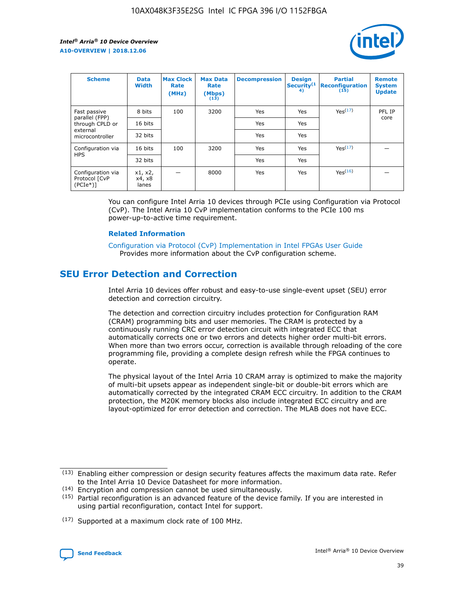

| <b>Scheme</b>                                   | <b>Data</b><br><b>Width</b> | <b>Max Clock</b><br>Rate<br>(MHz) | <b>Max Data</b><br>Rate<br>(Mbps)<br>(13) | <b>Decompression</b> | <b>Design</b><br>Security <sup>(1</sup><br>4) | <b>Partial</b><br><b>Reconfiguration</b><br>(15) | <b>Remote</b><br><b>System</b><br><b>Update</b> |
|-------------------------------------------------|-----------------------------|-----------------------------------|-------------------------------------------|----------------------|-----------------------------------------------|--------------------------------------------------|-------------------------------------------------|
| Fast passive                                    | 8 bits                      | 100                               | 3200                                      | Yes                  | Yes                                           | Yes(17)                                          | PFL IP                                          |
| parallel (FPP)<br>through CPLD or               | 16 bits                     |                                   |                                           | Yes                  | Yes                                           |                                                  | core                                            |
| external<br>microcontroller                     | 32 bits                     |                                   |                                           | Yes                  | Yes                                           |                                                  |                                                 |
| Configuration via                               | 16 bits                     | 100                               | 3200                                      | Yes                  | Yes                                           | Yes <sup>(17)</sup>                              |                                                 |
| <b>HPS</b>                                      | 32 bits                     |                                   |                                           | Yes                  | Yes                                           |                                                  |                                                 |
| Configuration via<br>Protocol [CvP<br>$(PCIe*)$ | x1, x2,<br>x4, x8<br>lanes  |                                   | 8000                                      | Yes                  | Yes                                           | Yes(16)                                          |                                                 |

You can configure Intel Arria 10 devices through PCIe using Configuration via Protocol (CvP). The Intel Arria 10 CvP implementation conforms to the PCIe 100 ms power-up-to-active time requirement.

#### **Related Information**

[Configuration via Protocol \(CvP\) Implementation in Intel FPGAs User Guide](https://www.intel.com/content/www/us/en/programmable/documentation/dsu1441819344145.html#dsu1442269728522) Provides more information about the CvP configuration scheme.

## **SEU Error Detection and Correction**

Intel Arria 10 devices offer robust and easy-to-use single-event upset (SEU) error detection and correction circuitry.

The detection and correction circuitry includes protection for Configuration RAM (CRAM) programming bits and user memories. The CRAM is protected by a continuously running CRC error detection circuit with integrated ECC that automatically corrects one or two errors and detects higher order multi-bit errors. When more than two errors occur, correction is available through reloading of the core programming file, providing a complete design refresh while the FPGA continues to operate.

The physical layout of the Intel Arria 10 CRAM array is optimized to make the majority of multi-bit upsets appear as independent single-bit or double-bit errors which are automatically corrected by the integrated CRAM ECC circuitry. In addition to the CRAM protection, the M20K memory blocks also include integrated ECC circuitry and are layout-optimized for error detection and correction. The MLAB does not have ECC.

(14) Encryption and compression cannot be used simultaneously.

<sup>(17)</sup> Supported at a maximum clock rate of 100 MHz.



 $(13)$  Enabling either compression or design security features affects the maximum data rate. Refer to the Intel Arria 10 Device Datasheet for more information.

 $(15)$  Partial reconfiguration is an advanced feature of the device family. If you are interested in using partial reconfiguration, contact Intel for support.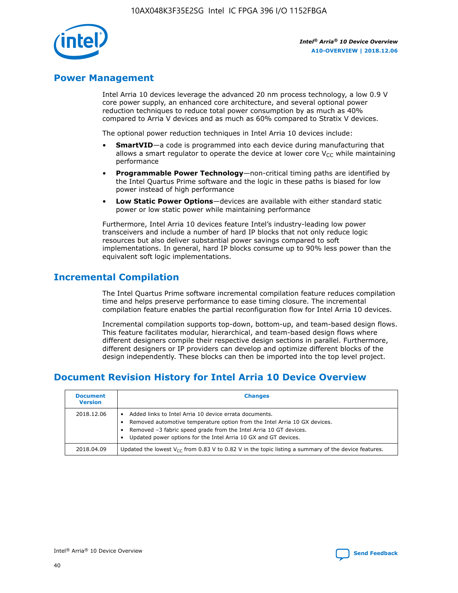

## **Power Management**

Intel Arria 10 devices leverage the advanced 20 nm process technology, a low 0.9 V core power supply, an enhanced core architecture, and several optional power reduction techniques to reduce total power consumption by as much as 40% compared to Arria V devices and as much as 60% compared to Stratix V devices.

The optional power reduction techniques in Intel Arria 10 devices include:

- **SmartVID**—a code is programmed into each device during manufacturing that allows a smart regulator to operate the device at lower core  $V_{CC}$  while maintaining performance
- **Programmable Power Technology**—non-critical timing paths are identified by the Intel Quartus Prime software and the logic in these paths is biased for low power instead of high performance
- **Low Static Power Options**—devices are available with either standard static power or low static power while maintaining performance

Furthermore, Intel Arria 10 devices feature Intel's industry-leading low power transceivers and include a number of hard IP blocks that not only reduce logic resources but also deliver substantial power savings compared to soft implementations. In general, hard IP blocks consume up to 90% less power than the equivalent soft logic implementations.

## **Incremental Compilation**

The Intel Quartus Prime software incremental compilation feature reduces compilation time and helps preserve performance to ease timing closure. The incremental compilation feature enables the partial reconfiguration flow for Intel Arria 10 devices.

Incremental compilation supports top-down, bottom-up, and team-based design flows. This feature facilitates modular, hierarchical, and team-based design flows where different designers compile their respective design sections in parallel. Furthermore, different designers or IP providers can develop and optimize different blocks of the design independently. These blocks can then be imported into the top level project.

## **Document Revision History for Intel Arria 10 Device Overview**

| <b>Document</b><br><b>Version</b> | <b>Changes</b>                                                                                                                                                                                                                                                              |
|-----------------------------------|-----------------------------------------------------------------------------------------------------------------------------------------------------------------------------------------------------------------------------------------------------------------------------|
| 2018.12.06                        | Added links to Intel Arria 10 device errata documents.<br>Removed automotive temperature option from the Intel Arria 10 GX devices.<br>Removed -3 fabric speed grade from the Intel Arria 10 GT devices.<br>Updated power options for the Intel Arria 10 GX and GT devices. |
| 2018.04.09                        | Updated the lowest $V_{CC}$ from 0.83 V to 0.82 V in the topic listing a summary of the device features.                                                                                                                                                                    |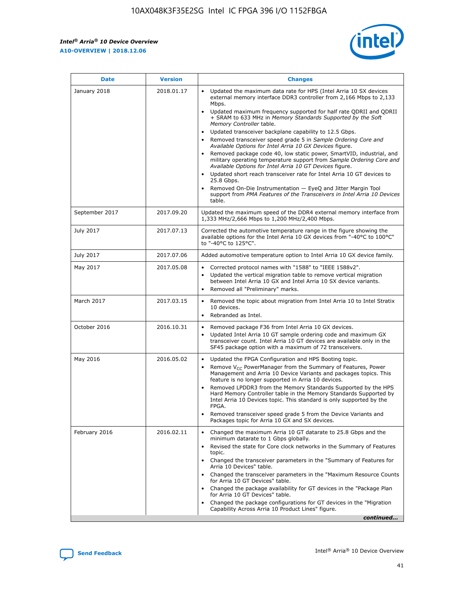

| <b>Date</b>    | <b>Version</b> | <b>Changes</b>                                                                                                                                                                                                                                                                                                                                                                                                                                                                                                                                                                                                                                                                                                                                                                                                                                                                                                                                               |
|----------------|----------------|--------------------------------------------------------------------------------------------------------------------------------------------------------------------------------------------------------------------------------------------------------------------------------------------------------------------------------------------------------------------------------------------------------------------------------------------------------------------------------------------------------------------------------------------------------------------------------------------------------------------------------------------------------------------------------------------------------------------------------------------------------------------------------------------------------------------------------------------------------------------------------------------------------------------------------------------------------------|
| January 2018   | 2018.01.17     | Updated the maximum data rate for HPS (Intel Arria 10 SX devices<br>external memory interface DDR3 controller from 2,166 Mbps to 2,133<br>Mbps.<br>Updated maximum frequency supported for half rate QDRII and QDRII<br>+ SRAM to 633 MHz in Memory Standards Supported by the Soft<br>Memory Controller table.<br>Updated transceiver backplane capability to 12.5 Gbps.<br>Removed transceiver speed grade 5 in Sample Ordering Core and<br>Available Options for Intel Arria 10 GX Devices figure.<br>Removed package code 40, low static power, SmartVID, industrial, and<br>military operating temperature support from Sample Ordering Core and<br>Available Options for Intel Arria 10 GT Devices figure.<br>Updated short reach transceiver rate for Intel Arria 10 GT devices to<br>25.8 Gbps.<br>Removed On-Die Instrumentation - EyeQ and Jitter Margin Tool<br>support from PMA Features of the Transceivers in Intel Arria 10 Devices<br>table. |
| September 2017 | 2017.09.20     | Updated the maximum speed of the DDR4 external memory interface from<br>1,333 MHz/2,666 Mbps to 1,200 MHz/2,400 Mbps.                                                                                                                                                                                                                                                                                                                                                                                                                                                                                                                                                                                                                                                                                                                                                                                                                                        |
| July 2017      | 2017.07.13     | Corrected the automotive temperature range in the figure showing the<br>available options for the Intel Arria 10 GX devices from "-40°C to 100°C"<br>to "-40°C to 125°C".                                                                                                                                                                                                                                                                                                                                                                                                                                                                                                                                                                                                                                                                                                                                                                                    |
| July 2017      | 2017.07.06     | Added automotive temperature option to Intel Arria 10 GX device family.                                                                                                                                                                                                                                                                                                                                                                                                                                                                                                                                                                                                                                                                                                                                                                                                                                                                                      |
| May 2017       | 2017.05.08     | Corrected protocol names with "1588" to "IEEE 1588v2".<br>Updated the vertical migration table to remove vertical migration<br>$\bullet$<br>between Intel Arria 10 GX and Intel Arria 10 SX device variants.<br>Removed all "Preliminary" marks.                                                                                                                                                                                                                                                                                                                                                                                                                                                                                                                                                                                                                                                                                                             |
| March 2017     | 2017.03.15     | Removed the topic about migration from Intel Arria 10 to Intel Stratix<br>10 devices.<br>Rebranded as Intel.<br>$\bullet$                                                                                                                                                                                                                                                                                                                                                                                                                                                                                                                                                                                                                                                                                                                                                                                                                                    |
| October 2016   | 2016.10.31     | Removed package F36 from Intel Arria 10 GX devices.<br>Updated Intel Arria 10 GT sample ordering code and maximum GX<br>$\bullet$<br>transceiver count. Intel Arria 10 GT devices are available only in the<br>SF45 package option with a maximum of 72 transceivers.                                                                                                                                                                                                                                                                                                                                                                                                                                                                                                                                                                                                                                                                                        |
| May 2016       | 2016.05.02     | Updated the FPGA Configuration and HPS Booting topic.<br>$\bullet$<br>Remove V <sub>CC</sub> PowerManager from the Summary of Features, Power<br>Management and Arria 10 Device Variants and packages topics. This<br>feature is no longer supported in Arria 10 devices.<br>Removed LPDDR3 from the Memory Standards Supported by the HPS<br>Hard Memory Controller table in the Memory Standards Supported by<br>Intel Arria 10 Devices topic. This standard is only supported by the<br>FPGA.<br>Removed transceiver speed grade 5 from the Device Variants and<br>Packages topic for Arria 10 GX and SX devices.                                                                                                                                                                                                                                                                                                                                         |
| February 2016  | 2016.02.11     | Changed the maximum Arria 10 GT datarate to 25.8 Gbps and the<br>minimum datarate to 1 Gbps globally.<br>Revised the state for Core clock networks in the Summary of Features<br>topic.<br>Changed the transceiver parameters in the "Summary of Features for<br>Arria 10 Devices" table.<br>Changed the transceiver parameters in the "Maximum Resource Counts"<br>for Arria 10 GT Devices" table.<br>Changed the package availability for GT devices in the "Package Plan<br>for Arria 10 GT Devices" table.<br>Changed the package configurations for GT devices in the "Migration"<br>Capability Across Arria 10 Product Lines" figure.<br>continued                                                                                                                                                                                                                                                                                                     |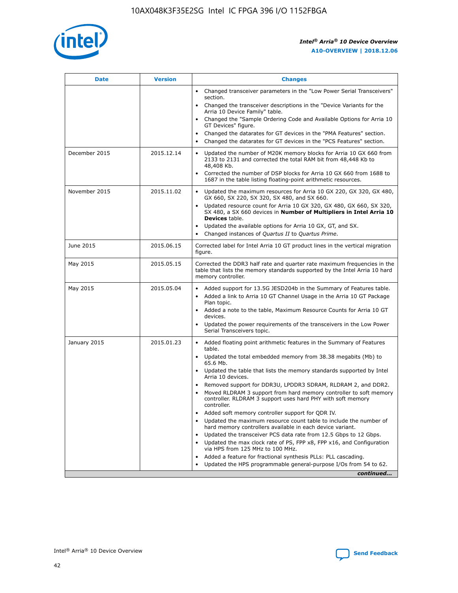

| <b>Date</b>   | <b>Version</b> | <b>Changes</b>                                                                                                                                                               |
|---------------|----------------|------------------------------------------------------------------------------------------------------------------------------------------------------------------------------|
|               |                | • Changed transceiver parameters in the "Low Power Serial Transceivers"<br>section.                                                                                          |
|               |                | • Changed the transceiver descriptions in the "Device Variants for the<br>Arria 10 Device Family" table.                                                                     |
|               |                | Changed the "Sample Ordering Code and Available Options for Arria 10<br>$\bullet$<br>GT Devices" figure.                                                                     |
|               |                | Changed the datarates for GT devices in the "PMA Features" section.                                                                                                          |
|               |                | Changed the datarates for GT devices in the "PCS Features" section.<br>$\bullet$                                                                                             |
| December 2015 | 2015.12.14     | Updated the number of M20K memory blocks for Arria 10 GX 660 from<br>2133 to 2131 and corrected the total RAM bit from 48,448 Kb to<br>48,408 Kb.                            |
|               |                | Corrected the number of DSP blocks for Arria 10 GX 660 from 1688 to<br>1687 in the table listing floating-point arithmetic resources.                                        |
| November 2015 | 2015.11.02     | Updated the maximum resources for Arria 10 GX 220, GX 320, GX 480,<br>$\bullet$<br>GX 660, SX 220, SX 320, SX 480, and SX 660.                                               |
|               |                | • Updated resource count for Arria 10 GX 320, GX 480, GX 660, SX 320,<br>SX 480, a SX 660 devices in Number of Multipliers in Intel Arria 10<br><b>Devices</b> table.        |
|               |                | Updated the available options for Arria 10 GX, GT, and SX.                                                                                                                   |
|               |                | Changed instances of Quartus II to Quartus Prime.<br>$\bullet$                                                                                                               |
| June 2015     | 2015.06.15     | Corrected label for Intel Arria 10 GT product lines in the vertical migration<br>figure.                                                                                     |
| May 2015      | 2015.05.15     | Corrected the DDR3 half rate and quarter rate maximum frequencies in the<br>table that lists the memory standards supported by the Intel Arria 10 hard<br>memory controller. |
| May 2015      | 2015.05.04     | • Added support for 13.5G JESD204b in the Summary of Features table.                                                                                                         |
|               |                | • Added a link to Arria 10 GT Channel Usage in the Arria 10 GT Package<br>Plan topic.                                                                                        |
|               |                | • Added a note to the table, Maximum Resource Counts for Arria 10 GT<br>devices.                                                                                             |
|               |                | • Updated the power requirements of the transceivers in the Low Power<br>Serial Transceivers topic.                                                                          |
| January 2015  | 2015.01.23     | • Added floating point arithmetic features in the Summary of Features<br>table.                                                                                              |
|               |                | • Updated the total embedded memory from 38.38 megabits (Mb) to<br>65.6 Mb.                                                                                                  |
|               |                | • Updated the table that lists the memory standards supported by Intel<br>Arria 10 devices.                                                                                  |
|               |                | Removed support for DDR3U, LPDDR3 SDRAM, RLDRAM 2, and DDR2.                                                                                                                 |
|               |                | Moved RLDRAM 3 support from hard memory controller to soft memory<br>controller. RLDRAM 3 support uses hard PHY with soft memory<br>controller.                              |
|               |                | Added soft memory controller support for QDR IV.<br>٠                                                                                                                        |
|               |                | Updated the maximum resource count table to include the number of<br>hard memory controllers available in each device variant.                                               |
|               |                | Updated the transceiver PCS data rate from 12.5 Gbps to 12 Gbps.<br>$\bullet$                                                                                                |
|               |                | Updated the max clock rate of PS, FPP x8, FPP x16, and Configuration<br>via HPS from 125 MHz to 100 MHz.                                                                     |
|               |                | Added a feature for fractional synthesis PLLs: PLL cascading.                                                                                                                |
|               |                | Updated the HPS programmable general-purpose I/Os from 54 to 62.<br>$\bullet$                                                                                                |
|               |                | continued                                                                                                                                                                    |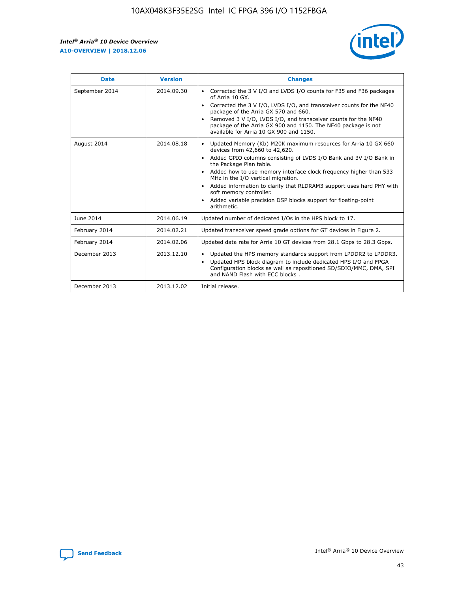r



| <b>Date</b>    | <b>Version</b> | <b>Changes</b>                                                                                                                                                                                                                                                                                                                                                                                                                                                                                                                         |
|----------------|----------------|----------------------------------------------------------------------------------------------------------------------------------------------------------------------------------------------------------------------------------------------------------------------------------------------------------------------------------------------------------------------------------------------------------------------------------------------------------------------------------------------------------------------------------------|
| September 2014 | 2014.09.30     | Corrected the 3 V I/O and LVDS I/O counts for F35 and F36 packages<br>of Arria 10 GX.<br>Corrected the 3 V I/O, LVDS I/O, and transceiver counts for the NF40<br>$\bullet$<br>package of the Arria GX 570 and 660.<br>Removed 3 V I/O, LVDS I/O, and transceiver counts for the NF40<br>package of the Arria GX 900 and 1150. The NF40 package is not<br>available for Arria 10 GX 900 and 1150.                                                                                                                                       |
| August 2014    | 2014.08.18     | Updated Memory (Kb) M20K maximum resources for Arria 10 GX 660<br>devices from 42,660 to 42,620.<br>Added GPIO columns consisting of LVDS I/O Bank and 3V I/O Bank in<br>$\bullet$<br>the Package Plan table.<br>Added how to use memory interface clock frequency higher than 533<br>$\bullet$<br>MHz in the I/O vertical migration.<br>Added information to clarify that RLDRAM3 support uses hard PHY with<br>$\bullet$<br>soft memory controller.<br>Added variable precision DSP blocks support for floating-point<br>arithmetic. |
| June 2014      | 2014.06.19     | Updated number of dedicated I/Os in the HPS block to 17.                                                                                                                                                                                                                                                                                                                                                                                                                                                                               |
| February 2014  | 2014.02.21     | Updated transceiver speed grade options for GT devices in Figure 2.                                                                                                                                                                                                                                                                                                                                                                                                                                                                    |
| February 2014  | 2014.02.06     | Updated data rate for Arria 10 GT devices from 28.1 Gbps to 28.3 Gbps.                                                                                                                                                                                                                                                                                                                                                                                                                                                                 |
| December 2013  | 2013.12.10     | Updated the HPS memory standards support from LPDDR2 to LPDDR3.<br>Updated HPS block diagram to include dedicated HPS I/O and FPGA<br>$\bullet$<br>Configuration blocks as well as repositioned SD/SDIO/MMC, DMA, SPI<br>and NAND Flash with ECC blocks.                                                                                                                                                                                                                                                                               |
| December 2013  | 2013.12.02     | Initial release.                                                                                                                                                                                                                                                                                                                                                                                                                                                                                                                       |